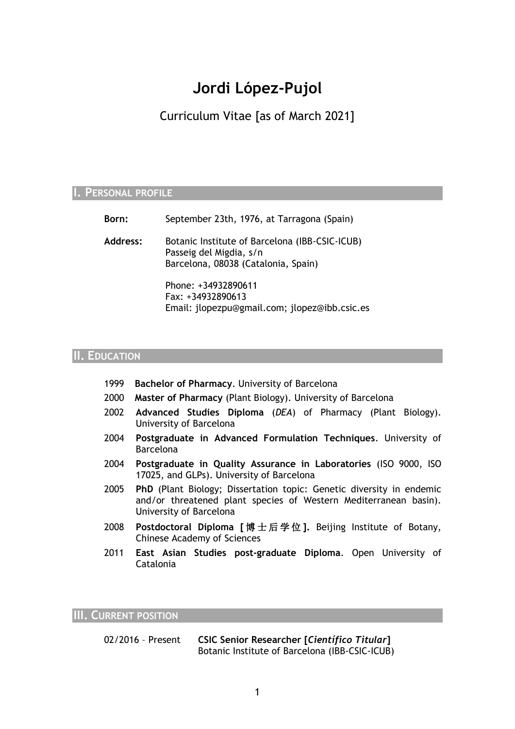# **Jordi López-Pujol**

Curriculum Vitae [as of March 2021]

# **I. PERSONAL PROFILE**

| Born:    | September 23th, 1976, at Tarragona (Spain)                                                                       |
|----------|------------------------------------------------------------------------------------------------------------------|
| Address: | Botanic Institute of Barcelona (IBB-CSIC-ICUB)<br>Passeig del Migdia, s/n<br>Barcelona, 08038 (Catalonia, Spain) |
|          | Phone: +34932890611<br>Fax: +34932890613<br>Email: jlopezpu@gmail.com; jlopez@ibb.csic.es                        |

# **II. EDUCATION**

- 1999 **Bachelor of Pharmacy**. University of Barcelona
- 2000 **Master of Pharmacy** (Plant Biology). University of Barcelona
- 2002 **Advanced Studies Diploma** (*DEA*) of Pharmacy (Plant Biology). University of Barcelona
- 2004 **Postgraduate in Advanced Formulation Techniques**. University of Barcelona
- 2004 **Postgraduate in Quality Assurance in Laboratories** (ISO 9000, ISO 17025, and GLPs). University of Barcelona
- 2005 **PhD** (Plant Biology; Dissertation topic: Genetic diversity in endemic and/or threatened plant species of Western Mediterranean basin). University of Barcelona
- 2008 **Postdoctoral Diploma [** 博 士 后 学 位 **].** Beijing Institute of Botany, Chinese Academy of Sciences
- 2011 **East Asian Studies post-graduate Diploma**. Open University of Catalonia

**III. CURRENT POSITION**

02/2016 – Present **CSIC Senior Researcher [***Científico Titular***]** Botanic Institute of Barcelona (IBB-CSIC-ICUB)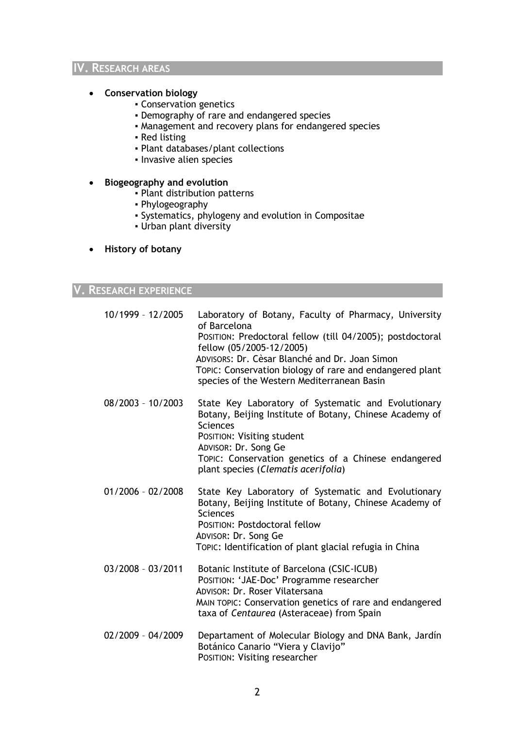#### **IV. RESEARCH AREAS**

#### **Conservation biology**

- Conservation genetics
- **Demography of rare and endangered species**
- Management and recovery plans for endangered species
- Red listing
- Plant databases/plant collections
- Invasive alien species

#### **Biogeography and evolution**

- Plant distribution patterns
- Phylogeography
- Systematics, phylogeny and evolution in Compositae
- Urban plant diversity

#### **History of botany**

# **V. RESEARCH EXPERIENCE**

| 10/1999 - 12/2005   | Laboratory of Botany, Faculty of Pharmacy, University<br>of Barcelona<br>POSITION: Predoctoral fellow (till 04/2005); postdoctoral<br>fellow (05/2005-12/2005)<br>ADVISORS: Dr. Cèsar Blanché and Dr. Joan Simon<br>TOPIC: Conservation biology of rare and endangered plant<br>species of the Western Mediterranean Basin |
|---------------------|----------------------------------------------------------------------------------------------------------------------------------------------------------------------------------------------------------------------------------------------------------------------------------------------------------------------------|
| 08/2003 - 10/2003   | State Key Laboratory of Systematic and Evolutionary<br>Botany, Beijing Institute of Botany, Chinese Academy of<br>Sciences<br>POSITION: Visiting student<br>ADVISOR: Dr. Song Ge<br>TOPIC: Conservation genetics of a Chinese endangered<br>plant species (Clematis acerifolia)                                            |
| $01/2006 - 02/2008$ | State Key Laboratory of Systematic and Evolutionary<br>Botany, Beijing Institute of Botany, Chinese Academy of<br>Sciences                                                                                                                                                                                                 |

POSITION: Postdoctoral fellow ADVISOR: Dr. Song Ge TOPIC: Identification of plant glacial refugia in China

- 03/2008 03/2011 Botanic Institute of Barcelona (CSIC-ICUB) POSITION: 'JAE-Doc' Programme researcher ADVISOR: Dr. Roser Vilatersana MAIN TOPIC: Conservation genetics of rare and endangered taxa of *Centaurea* (Asteraceae) from Spain
- 02/2009 04/2009 Departament of Molecular Biology and DNA Bank, Jardín Botánico Canario "Viera y Clavijo" POSITION: Visiting researcher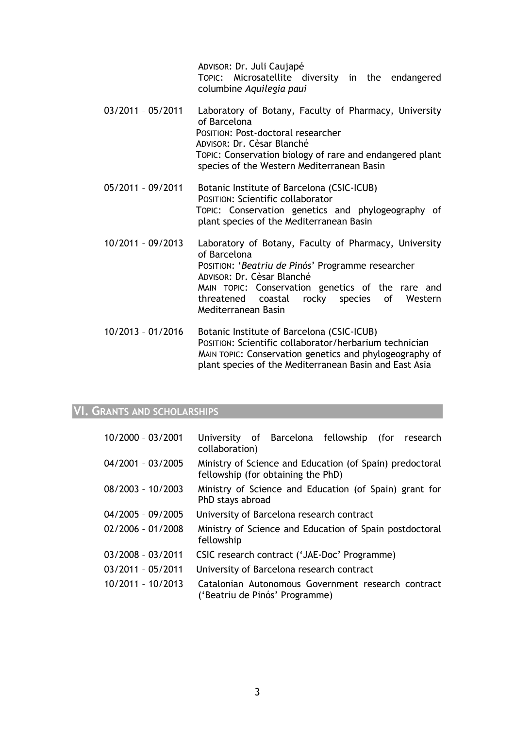ADVISOR: Dr. Juli Caujapé TOPIC: Microsatellite diversity in the endangered columbine *Aquilegia paui*

- 03/2011 05/2011 Laboratory of Botany, Faculty of Pharmacy, University of Barcelona POSITION: Post-doctoral researcher ADVISOR: Dr. Cèsar Blanché TOPIC: Conservation biology of rare and endangered plant species of the Western Mediterranean Basin
- 05/2011 09/2011 Botanic Institute of Barcelona (CSIC-ICUB) POSITION: Scientific collaborator TOPIC: Conservation genetics and phylogeography of plant species of the Mediterranean Basin
- 10/2011 09/2013 Laboratory of Botany, Faculty of Pharmacy, University of Barcelona POSITION: '*Beatriu de Pinós*' Programme researcher ADVISOR: Dr. Cèsar Blanché MAIN TOPIC: Conservation genetics of the rare and threatened coastal rocky species of Western Mediterranean Basin
- 10/2013 01/2016 Botanic Institute of Barcelona (CSIC-ICUB) POSITION: Scientific collaborator/herbarium technician MAIN TOPIC: Conservation genetics and phylogeography of plant species of the Mediterranean Basin and East Asia

#### **VI. GRANTS AND SCHOLARSHIPS**

| 10/2000 - 03/2001   | University of Barcelona fellowship<br>(for research<br>collaboration)                          |
|---------------------|------------------------------------------------------------------------------------------------|
| 04/2001 - 03/2005   | Ministry of Science and Education (of Spain) predoctoral<br>fellowship (for obtaining the PhD) |
| 08/2003 - 10/2003   | Ministry of Science and Education (of Spain) grant for<br>PhD stays abroad                     |
| 04/2005 - 09/2005   | University of Barcelona research contract                                                      |
| 02/2006 - 01/2008   | Ministry of Science and Education of Spain postdoctoral<br>fellowship                          |
| 03/2008 - 03/2011   | CSIC research contract ('JAE-Doc' Programme)                                                   |
| 03/2011 - 05/2011   | University of Barcelona research contract                                                      |
| $10/2011 - 10/2013$ | Catalonian Autonomous Government research contract<br>('Beatriu de Pinós' Programme)           |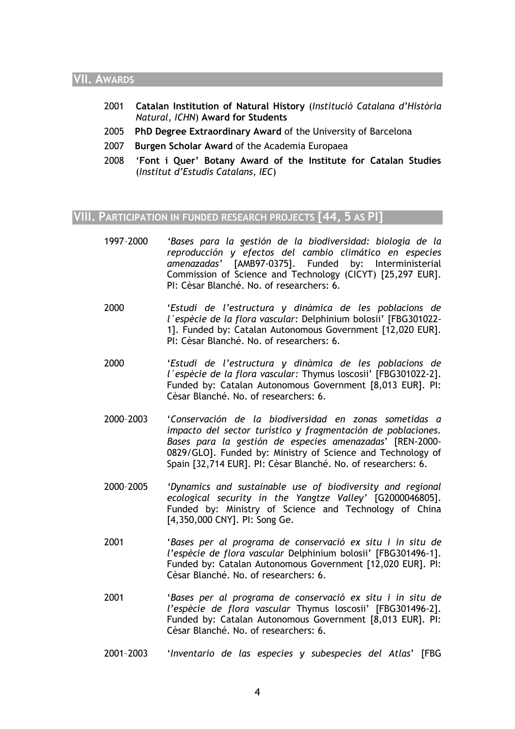#### **VII. AWARDS**

- 2001 **Catalan Institution of Natural History** (*Institució Catalana d'Història Natural*, *ICHN*) **Award for Students**
- 2005 **PhD Degree Extraordinary Award** of the University of Barcelona
- 2007 **Burgen Scholar Award** of the Academia Europaea
- 2008 '**Font i Quer' Botany Award of the Institute for Catalan Studies**  (*Institut d'Estudis Catalans*, *IEC*)

# **VIII. PARTICIPATION IN FUNDED RESEARCH PROJECTS [44, 5 AS PI]**

- 1997–2000 *'Bases para la gestión de la biodiversidad: biología de la reproducción y efectos del cambio climático en especies amenazadas'* [AMB97-0375]. Funded by: Interministerial Commission of Science and Technology (CICYT) [25,297 EUR]. PI: Cèsar Blanché. No. of researchers: 6.
- 2000 '*Estudi de l'estructura y dinàmica de les poblacions de l´espècie de la flora vascular:* Delphinium bolosii' [FBG301022- 1]. Funded by: Catalan Autonomous Government [12,020 EUR]. PI: Cèsar Blanché. No. of researchers: 6.
- 2000 '*Estudi de l'estructura y dinàmica de les poblacions de l´espècie de la flora vascular:* Thymus loscosii' [FBG301022-2]. Funded by: Catalan Autonomous Government [8,013 EUR]. PI: Cèsar Blanché. No. of researchers: 6.
- 2000–2003 '*Conservación de la biodiversidad en zonas sometidas a impacto del sector turístico y fragmentación de poblaciones. Bases para la gestión de especies amenazadas*' [REN-2000- 0829/GLO]. Funded by: Ministry of Science and Technology of Spain [32,714 EUR]. PI: Cèsar Blanché. No. of researchers: 6.
- 2000–2005 *'Dynamics and sustainable use of biodiversity and regional ecological security in the Yangtze Valley'* [G2000046805]. Funded by: Ministry of Science and Technology of China [4,350,000 CNY]. PI: Song Ge.
- 2001 '*Bases per al programa de conservació ex situ i in situ de l'espècie de flora vascular* Delphinium bolosii' [FBG301496-1]. Funded by: Catalan Autonomous Government [12,020 EUR]. PI: Cèsar Blanché. No. of researchers: 6.
- 2001 '*Bases per al programa de conservació ex situ i in situ de l'espècie de flora vascular* Thymus loscosii' [FBG301496-2]. Funded by: Catalan Autonomous Government [8,013 EUR]. PI: Cèsar Blanché. No. of researchers: 6.
- 2001–2003 '*Inventario de las especies y subespecies del Atlas*' [FBG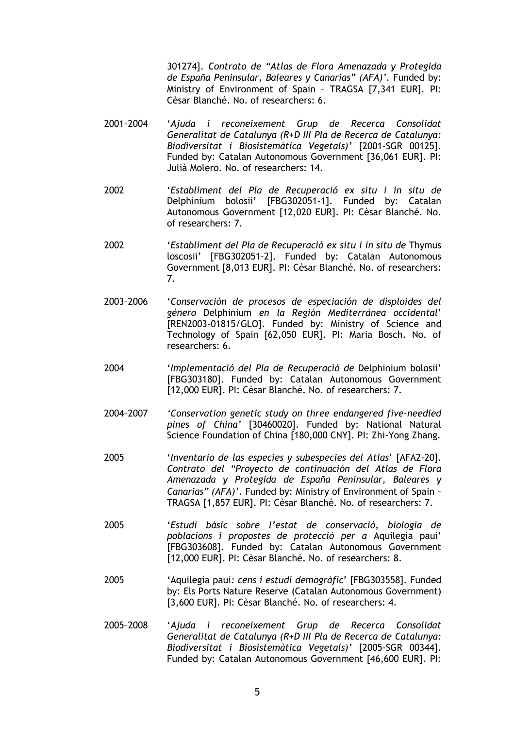301274]. *Contrato de "Atlas de Flora Amenazada y Protegida de España Peninsular, Baleares y Canarias" (AFA)'*. Funded by: Ministry of Environment of Spain – TRAGSA [7,341 EUR]. PI: Cèsar Blanché. No. of researchers: 6.

- 2001–2004 '*Ajuda i reconeixement Grup de Recerca Consolidat Generalitat de Catalunya (R+D III Pla de Recerca de Catalunya: Biodiversitat i Biosistemàtica Vegetals)'* [2001-SGR 00125]. Funded by: Catalan Autonomous Government [36,061 EUR]. PI: Julià Molero. No. of researchers: 14.
- 2002 '*Establiment del Pla de Recuperació ex situ i in situ de* Delphinium bolosii' [FBG302051-1]. Funded by: Catalan Autonomous Government [12,020 EUR]. PI: Cèsar Blanché. No. of researchers: 7.
- 2002 '*Establiment del Pla de Recuperació ex situ i in situ de* Thymus loscosii' [FBG302051-2]. Funded by: Catalan Autonomous Government [8,013 EUR]. PI: Cèsar Blanché. No. of researchers: 7.
- 2003–2006 '*Conservación de procesos de especiación de disploides del género* Delphinium *en la Región Mediterránea occidental*' [REN2003-01815/GLO]. Funded by: Ministry of Science and Technology of Spain [62,050 EUR]. PI: Maria Bosch. No. of researchers: 6.
- 2004 '*Implementació del Pla de Recuperació de* Delphinium bolosii' [FBG303180]. Funded by: Catalan Autonomous Government [12,000 EUR]. PI: Cèsar Blanché. No. of researchers: 7.
- 2004–2007 *'Conservation genetic study on three endangered five-needled pines of China'* [30460020]. Funded by: National Natural Science Foundation of China [180,000 CNY]. PI: Zhi-Yong Zhang.
- 2005 '*Inventario de las especies y subespecies del Atlas*' [AFA2-20]*. Contrato del "Proyecto de continuación del Atlas de Flora Amenazada y Protegida de España Peninsular, Baleares y Canarias" (AFA)'*. Funded by: Ministry of Environment of Spain – TRAGSA [1,857 EUR]. PI: Cèsar Blanché. No. of researchers: 7.
- 2005 '*Estudi bàsic sobre l'estat de conservació, biologia de poblacions i propostes de protecció per a* Aquilegia paui' [FBG303608]. Funded by: Catalan Autonomous Government [12,000 EUR]. PI: Cèsar Blanché. No. of researchers: 8.
- 2005 'Aquilegia paui*: cens i estudi demogràfic*' [FBG303558]. Funded by: Els Ports Nature Reserve (Catalan Autonomous Government) [3,600 EUR]. PI: Cèsar Blanché. No. of researchers: 4.
- 2005–2008 '*Ajuda i reconeixement Grup de Recerca Consolidat Generalitat de Catalunya (R+D III Pla de Recerca de Catalunya: Biodiversitat i Biosistemàtica Vegetals)'* [2005-SGR 00344]. Funded by: Catalan Autonomous Government [46,600 EUR]. PI: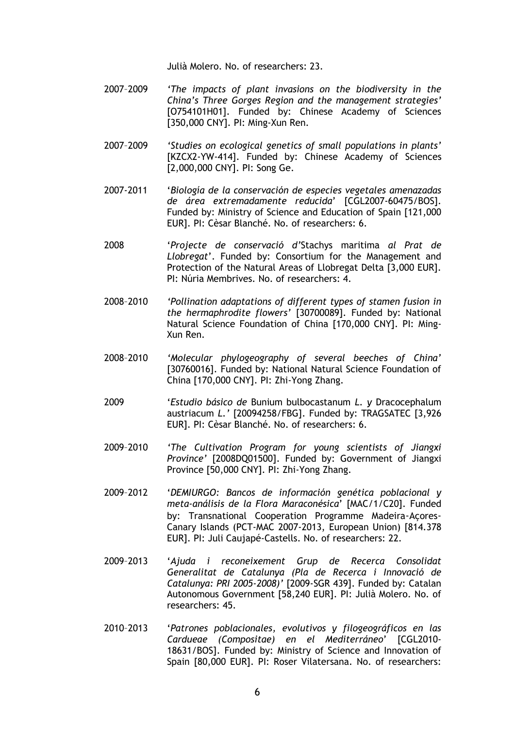Julià Molero. No. of researchers: 23.

- 2007–2009 *'The impacts of plant invasions on the biodiversity in the China's Three Gorges Region and the management strategies'* [O754101H01]. Funded by: Chinese Academy of Sciences [350,000 CNY]. PI: Ming-Xun Ren.
- 2007–2009 *'Studies on ecological genetics of small populations in plants'* [KZCX2-YW-414]. Funded by: Chinese Academy of Sciences [2,000,000 CNY]. PI: Song Ge.
- 2007-2011 '*Biología de la conservación de especies vegetales amenazadas de área extremadamente reducida*' [CGL2007-60475/BOS]. Funded by: Ministry of Science and Education of Spain [121,000 EUR]. PI: Cèsar Blanché. No. of researchers: 6.
- 2008 '*Projecte de conservació d'*Stachys maritima *al Prat de Llobregat*'. Funded by: Consortium for the Management and Protection of the Natural Areas of Llobregat Delta [3,000 EUR]. PI: Núria Membrives. No. of researchers: 4.
- 2008–2010 *'Pollination adaptations of different types of stamen fusion in the hermaphrodite flowers'* [30700089]. Funded by: National Natural Science Foundation of China [170,000 CNY]. PI: Ming-Xun Ren.
- 2008–2010 *'Molecular phylogeography of several beeches of China'* [30760016]. Funded by: National Natural Science Foundation of China [170,000 CNY]. PI: Zhi-Yong Zhang.
- 2009 '*Estudio básico de* Bunium bulbocastanum *L. y* Dracocephalum austriacum *L.'* [20094258/FBG]. Funded by: TRAGSATEC [3,926 EUR]. PI: Cèsar Blanché. No. of researchers: 6.
- 2009–2010 *'The Cultivation Program for young scientists of Jiangxi Province'* [2008DQ01500]. Funded by: Government of Jiangxi Province [50,000 CNY]. PI: Zhi-Yong Zhang.
- 2009–2012 '*DEMIURGO: Bancos de información genética poblacional y meta-análisis de la Flora Maraconésica*' [MAC/1/C20]. Funded by: Transnational Cooperation Programme Madeira-Açores-Canary Islands (PCT-MAC 2007-2013, European Union) [814.378 EUR]. PI: Juli Caujapé-Castells. No. of researchers: 22.
- 2009–2013 '*Ajuda i reconeixement Grup de Recerca Consolidat Generalitat de Catalunya (Pla de Recerca i Innovació de Catalunya: PRI 2005-2008)'* [2009-SGR 439]. Funded by: Catalan Autonomous Government [58,240 EUR]. PI: Julià Molero. No. of researchers: 45.
- 2010–2013 '*Patrones poblacionales, evolutivos y filogeográficos en las Cardueae (Compositae) en el Mediterráneo*' [CGL2010- 18631/BOS]. Funded by: Ministry of Science and Innovation of Spain [80,000 EUR]. PI: Roser Vilatersana. No. of researchers: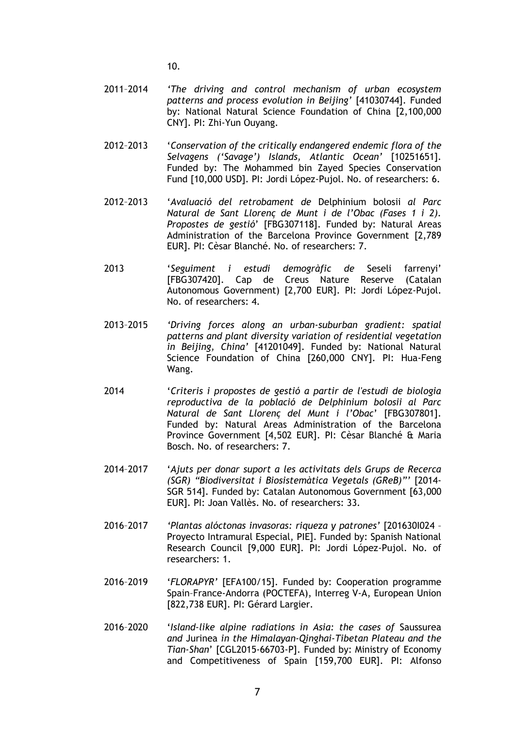10.

- 2011–2014 *'The driving and control mechanism of urban ecosystem patterns and process evolution in Beijing'* [41030744]. Funded by: National Natural Science Foundation of China [2,100,000 CNY]. PI: Zhi-Yun Ouyang.
- 2012–2013 '*Conservation of the critically endangered endemic flora of the Selvagens ('Savage') Islands, Atlantic Ocean'* [10251651]. Funded by: The Mohammed bin Zayed Species Conservation Fund [10,000 USD]. PI: Jordi López-Pujol. No. of researchers: 6.
- 2012–2013 '*Avaluació del retrobament de* Delphinium bolosii *al Parc Natural de Sant Llorenç de Munt i de l'Obac (Fases 1 i 2). Propostes de gestió*' [FBG307118]. Funded by: Natural Areas Administration of the Barcelona Province Government [2,789 EUR]. PI: Cèsar Blanché. No. of researchers: 7.
- 2013 '*Seguiment i estudi demogràfic de* Seseli farrenyi' [FBG307420]. Cap de Creus Nature Reserve (Catalan Autonomous Government) [2,700 EUR]. PI: Jordi López-Pujol. No. of researchers: 4.
- 2013–2015 *'Driving forces along an urban-suburban gradient: spatial patterns and plant diversity variation of residential vegetation in Beijing, China'* [41201049]. Funded by: National Natural Science Foundation of China [260,000 CNY]. PI: Hua-Feng Wang.
- 2014 '*Criteris i propostes de gestió a partir de l'estudi de biologia reproductiva de la població de Delphinium bolosii al Parc Natural de Sant Llorenç del Munt i l'Obac*' [FBG307801]. Funded by: Natural Areas Administration of the Barcelona Province Government [4,502 EUR]. PI: Cèsar Blanché & Maria Bosch. No. of researchers: 7.
- 2014–2017 '*Ajuts per donar suport a les activitats dels Grups de Recerca (SGR) "Biodiversitat i Biosistemàtica Vegetals (GReB)"'* [2014- SGR 514]. Funded by: Catalan Autonomous Government [63,000 EUR]. PI: Joan Vallès. No. of researchers: 33.
- 2016–2017 *'Plantas alóctonas invasoras: riqueza y patrones'* [201630I024 Proyecto Intramural Especial, PIE]. Funded by: Spanish National Research Council [9,000 EUR]. PI: Jordi López-Pujol. No. of researchers: 1.
- 2016–2019 '*FLORAPYR'* [EFA100/15]. Funded by: Cooperation programme Spain–France-Andorra (POCTEFA), Interreg V-A, European Union [822,738 EUR]. PI: Gérard Largier.
- 2016–2020 '*Island-like alpine radiations in Asia: the cases of* Saussurea *and* Jurinea *in the Himalayan-Qinghai-Tibetan Plateau and the Tian-Shan*' [CGL2015-66703-P]. Funded by: Ministry of Economy and Competitiveness of Spain [159,700 EUR]. PI: Alfonso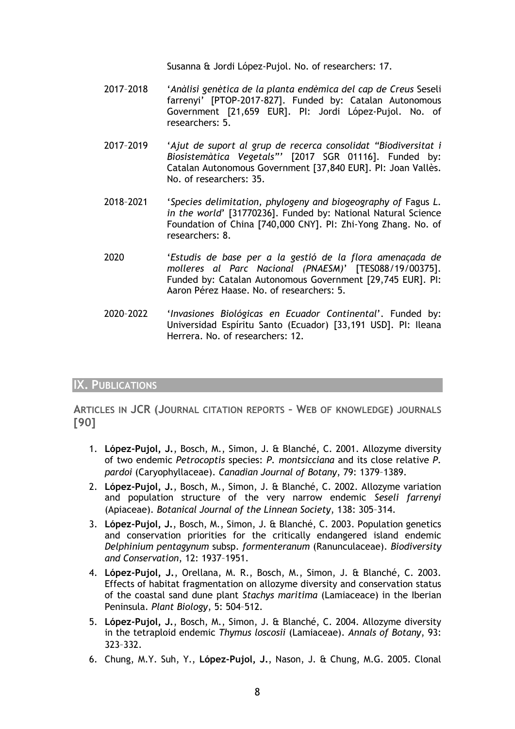Susanna & Jordi López-Pujol. No. of researchers: 17.

- 2017–2018 '*Anàlisi genètica de la planta endèmica del cap de Creus* Seseli farrenyi' [PTOP-2017-827]. Funded by: Catalan Autonomous Government [21,659 EUR]. PI: Jordi López-Pujol. No. of researchers: 5.
- 2017–2019 '*Ajut de suport al grup de recerca consolidat "Biodiversitat i Biosistemàtica Vegetals"'* [2017 SGR 01116]. Funded by: Catalan Autonomous Government [37,840 EUR]. PI: Joan Vallès. No. of researchers: 35.
- 2018–2021 '*Species delimitation, phylogeny and biogeography of* Fagus *L. in the world*' [31770236]. Funded by: National Natural Science Foundation of China [740,000 CNY]. PI: Zhi-Yong Zhang. No. of researchers: 8.
- 2020 '*Estudis de base per a la gestió de la flora amenaçada de molleres al Parc Nacional (PNAESM)*' [TES088/19/00375]. Funded by: Catalan Autonomous Government [29,745 EUR]. PI: Aaron Pérez Haase. No. of researchers: 5.
- 2020–2022 '*Invasiones Biológicas en Ecuador Continental*'. Funded by: Universidad Espíritu Santo (Ecuador) [33,191 USD]. PI: Ileana Herrera. No. of researchers: 12.

# **IX. PUBLICATIONS**

**ARTICLES IN JCR (JOURNAL CITATION REPORTS – WEB OF KNOWLEDGE) JOURNALS [90]**

- 1. **López-Pujol, J.**, Bosch, M., Simon, J. & Blanché, C. 2001. Allozyme diversity of two endemic *Petrocoptis* species: *P. montsicciana* and its close relative *P. pardoi* (Caryophyllaceae). *Canadian Journal of Botany*, 79: 1379–1389.
- 2. **López-Pujol, J.**, Bosch, M., Simon, J. & Blanché, C. 2002. Allozyme variation and population structure of the very narrow endemic *Seseli farrenyi* (Apiaceae). *Botanical Journal of the Linnean Society*, 138: 305–314.
- 3. **López-Pujol, J.**, Bosch, M., Simon, J. & Blanché, C. 2003. Population genetics and conservation priorities for the critically endangered island endemic *Delphinium pentagynum* subsp. *formenteranum* (Ranunculaceae). *Biodiversity and Conservation*, 12: 1937–1951.
- 4. **López-Pujol, J.**, Orellana, M. R., Bosch, M., Simon, J. & Blanché, C. 2003. Effects of habitat fragmentation on allozyme diversity and conservation status of the coastal sand dune plant *Stachys maritima* (Lamiaceace) in the Iberian Peninsula. *Plant Biology*, 5: 504–512.
- 5. **López-Pujol, J.**, Bosch, M., Simon, J. & Blanché, C. 2004. Allozyme diversity in the tetraploid endemic *Thymus loscosii* (Lamiaceae). *Annals of Botany*, 93: 323–332.
- 6. Chung, M.Y. Suh, Y., **López-Pujol, J.**, Nason, J. & Chung, M.G. 2005. Clonal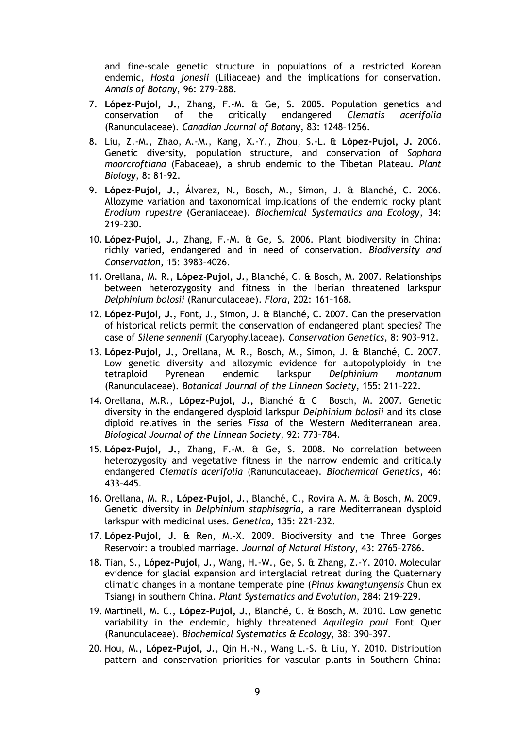and fine-scale genetic structure in populations of a restricted Korean endemic, *Hosta jonesii* (Liliaceae) and the implications for conservation. *Annals of Botany*, 96: 279–288.

- 7. **López-Pujol, J.**, Zhang, F.-M. & Ge, S. 2005. Population genetics and the critically endangered *Clematis acerifolia* (Ranunculaceae). *Canadian Journal of Botany*, 83: 1248–1256.
- 8. Liu, Z.-M., Zhao, A.-M., Kang, X.-Y., Zhou, S.-L. & **López-Pujol, J.** 2006. Genetic diversity, population structure, and conservation of *Sophora moorcroftiana* (Fabaceae), a shrub endemic to the Tibetan Plateau. *Plant Biology*, 8: 81–92.
- 9. **López-Pujol, J.**, Álvarez, N., Bosch, M., Simon, J. & Blanché, C. 2006. Allozyme variation and taxonomical implications of the endemic rocky plant *Erodium rupestre* (Geraniaceae). *Biochemical Systematics and Ecology*, 34: 219–230.
- 10. **López-Pujol, J.**, Zhang, F.-M. & Ge, S. 2006. Plant biodiversity in China: richly varied, endangered and in need of conservation. *Biodiversity and Conservation*, 15: 3983–4026.
- 11. Orellana, M. R., **López-Pujol, J.**, Blanché, C. & Bosch, M. 2007. Relationships between heterozygosity and fitness in the Iberian threatened larkspur *Delphinium bolosii* (Ranunculaceae). *Flora*, 202: 161–168.
- 12. **López-Pujol, J.**, Font, J., Simon, J. & Blanché, C. 2007. Can the preservation of historical relicts permit the conservation of endangered plant species? The case of *Silene sennenii* (Caryophyllaceae). *Conservation Genetics*, 8: 903–912.
- 13. **López-Pujol, J.**, Orellana, M. R., Bosch, M., Simon, J. & Blanché, C. 2007. Low genetic diversity and allozymic evidence for autopolyploidy in the tetraploid Pyrenean endemic larkspur *Delphinium montanum* (Ranunculaceae). *Botanical Journal of the Linnean Society*, 155: 211–222.
- 14. Orellana, M.R., **López-Pujol, J.,** Blanché & C Bosch, M. 2007. Genetic diversity in the endangered dysploid larkspur *Delphinium bolosii* and its close diploid relatives in the series *Fissa* of the Western Mediterranean area. *Biological Journal of the Linnean Society*, 92: 773–784.
- 15. **López-Pujol, J.**, Zhang, F.-M. & Ge, S. 2008. No correlation between heterozygosity and vegetative fitness in the narrow endemic and critically endangered *Clematis acerifolia* (Ranunculaceae). *Biochemical Genetics*, 46: 433–445.
- 16. Orellana, M. R., **López-Pujol, J.**, Blanché, C., Rovira A. M. & Bosch, M. 2009. Genetic diversity in *Delphinium staphisagria*, a rare Mediterranean dysploid larkspur with medicinal uses. *Genetica*, 135: 221–232.
- 17. **López-Pujol, J.** & Ren, M.-X. 2009. Biodiversity and the Three Gorges Reservoir: a troubled marriage. *Journal of Natural History*, 43: 2765–2786.
- 18. Tian, S., **López-Pujol, J.**, Wang, H.-W., Ge, S. & Zhang, Z.-Y. 2010. Molecular evidence for glacial expansion and interglacial retreat during the Quaternary climatic changes in a montane temperate pine (*Pinus kwangtungensis* Chun ex Tsiang) in southern China. *Plant Systematics and Evolution*, 284: 219–229.
- 19. Martinell, M. C., **López-Pujol, J.**, Blanché, C. & Bosch, M. 2010. Low genetic variability in the endemic, highly threatened *Aquilegia paui* Font Quer (Ranunculaceae). *Biochemical Systematics & Ecology*, 38: 390–397.
- 20. Hou, M., **López-Pujol, J.**, Qin H.-N., Wang L.-S. & Liu, Y. 2010. Distribution pattern and conservation priorities for vascular plants in Southern China: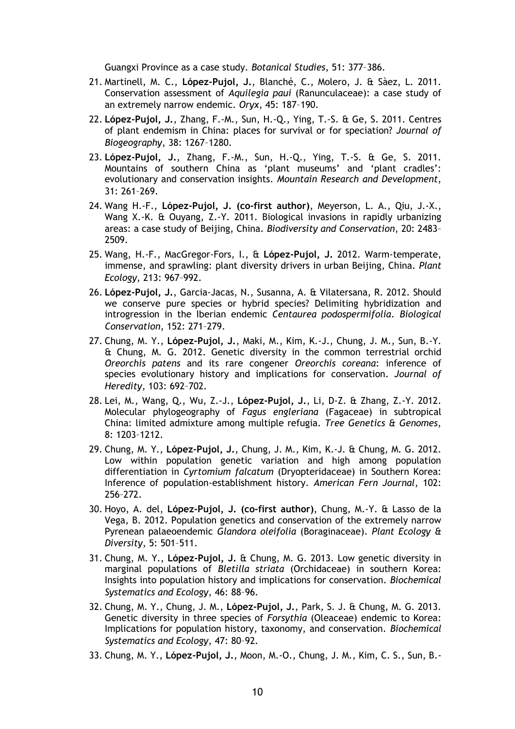Guangxi Province as a case study. *Botanical Studies*, 51: 377–386.

- 21. Martinell, M. C., **López-Pujol, J.**, Blanché, C., Molero, J. & Sàez, L. 2011. Conservation assessment of *Aquilegia paui* (Ranunculaceae): a case study of an extremely narrow endemic. *Oryx*, 45: 187–190.
- 22. **López-Pujol, J.**, Zhang, F.-M., Sun, H.-Q., Ying, T.-S. & Ge, S. 2011. Centres of plant endemism in China: places for survival or for speciation? *Journal of Biogeography*, 38: 1267–1280.
- 23. **López-Pujol, J.**, Zhang, F.-M., Sun, H.-Q., Ying, T.-S. & Ge, S. 2011. Mountains of southern China as 'plant museums' and 'plant cradles': evolutionary and conservation insights. *Mountain Research and Development*, 31: 261–269.
- 24. Wang H.-F., **López-Pujol, J. (co-first author)**, Meyerson, L. A., Qiu, J.-X., Wang X.-K. & Ouyang, Z.-Y. 2011. Biological invasions in rapidly urbanizing areas: a case study of Beijing, China. *Biodiversity and Conservation*, 20: 2483– 2509.
- 25. Wang, H.-F., MacGregor-Fors, I., & **López-Pujol, J.** 2012. Warm-temperate, immense, and sprawling: plant diversity drivers in urban Beijing, China. *Plant Ecology*, 213: 967–992.
- 26. **López-Pujol, J.**, Garcia-Jacas, N., Susanna, A. & Vilatersana, R. 2012. Should we conserve pure species or hybrid species? Delimiting hybridization and introgression in the Iberian endemic *Centaurea podospermifolia*. *Biological Conservation*, 152: 271–279.
- 27. Chung, M. Y., **López-Pujol, J.**, Maki, M., Kim, K.-J., Chung, J. M., Sun, B.-Y. & Chung, M. G. 2012. Genetic diversity in the common terrestrial orchid *Oreorchis patens* and its rare congener *Oreorchis coreana*: inference of species evolutionary history and implications for conservation. *Journal of Heredity*, 103: 692–702.
- 28. Lei, M., Wang, Q., Wu, Z.-J., **López-Pujol, J.**, Li, D-Z. & Zhang, Z.-Y. 2012. Molecular phylogeography of *Fagus engleriana* (Fagaceae) in subtropical China: limited admixture among multiple refugia. *Tree Genetics & Genomes*, 8: 1203–1212.
- 29. Chung, M. Y., **López-Pujol, J.**, Chung, J. M., Kim, K.-J. & Chung, M. G. 2012. Low within population genetic variation and high among population differentiation in *Cyrtomium falcatum* (Dryopteridaceae) in Southern Korea: Inference of population-establishment history. *American Fern Journal*, 102: 256–272.
- 30. Hoyo, A. del, **López-Pujol, J. (co-first author)**, Chung, M.-Y. & Lasso de la Vega, B. 2012. Population genetics and conservation of the extremely narrow Pyrenean palaeoendemic *Glandora oleifolia* (Boraginaceae). *Plant Ecology & Diversity*, 5: 501–511.
- 31. Chung, M. Y., **López-Pujol, J.** & Chung, M. G. 2013. Low genetic diversity in marginal populations of *Bletilla striata* (Orchidaceae) in southern Korea: Insights into population history and implications for conservation. *Biochemical Systematics and Ecology*, 46: 88–96.
- 32. Chung, M. Y., Chung, J. M., **López-Pujol, J.**, Park, S. J. & Chung, M. G. 2013. Genetic diversity in three species of *Forsythia* (Oleaceae) endemic to Korea: Implications for population history, taxonomy, and conservation. *Biochemical Systematics and Ecology*, 47: 80–92.
- 33. Chung, M. Y., **López-Pujol, J.**, Moon, M.-O., Chung, J. M., Kim, C. S., Sun, B.-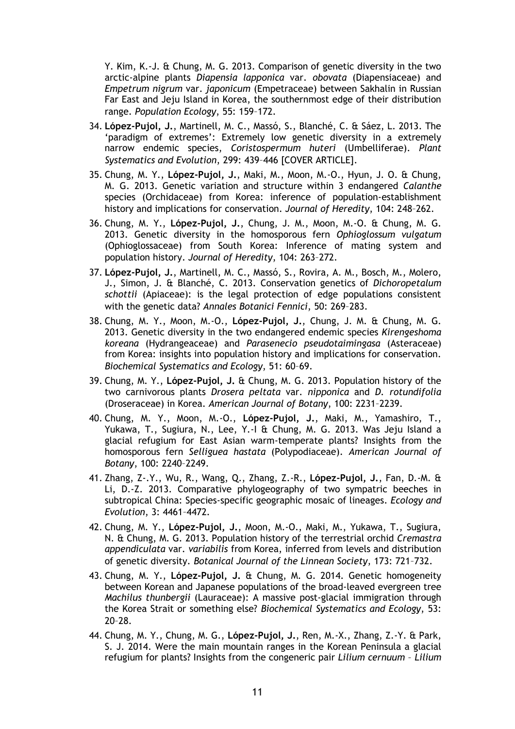Y. Kim, K.-J. & Chung, M. G. 2013. Comparison of genetic diversity in the two arctic-alpine plants *Diapensia lapponica* var. *obovata* (Diapensiaceae) and *Empetrum nigrum* var. *japonicum* (Empetraceae) between Sakhalin in Russian Far East and Jeju Island in Korea, the southernmost edge of their distribution range. *Population Ecology*, 55: 159–172.

- 34. **López-Pujol, J.**, Martinell, M. C., Massó, S., Blanché, C. & Sáez, L. 2013. The 'paradigm of extremes': Extremely low genetic diversity in a extremely narrow endemic species, *Coristospermum huteri* (Umbelliferae). *Plant Systematics and Evolution*, 299: 439–446 [COVER ARTICLE].
- 35. Chung, M. Y., **López-Pujol, J.**, Maki, M., Moon, M.-O., Hyun, J. O. & Chung, M. G. 2013. Genetic variation and structure within 3 endangered *Calanthe* species (Orchidaceae) from Korea: inference of population-establishment history and implications for conservation. *Journal of Heredity*, 104: 248–262.
- 36. Chung, M. Y., **López-Pujol, J.**, Chung, J. M., Moon, M.-O. & Chung, M. G. 2013. Genetic diversity in the homosporous fern *Ophioglossum vulgatum*  (Ophioglossaceae) from South Korea: Inference of mating system and population history. *Journal of Heredity*, 104: 263–272.
- 37. **López-Pujol, J.**, Martinell, M. C., Massó, S., Rovira, A. M., Bosch, M., Molero, J., Simon, J. & Blanché, C. 2013. Conservation genetics of *Dichoropetalum schottii* (Apiaceae): is the legal protection of edge populations consistent with the genetic data? *Annales Botanici Fennici*, 50: 269–283.
- 38. Chung, M. Y., Moon, M.-O., **López-Pujol, J.**, Chung, J. M. & Chung, M. G. 2013. Genetic diversity in the two endangered endemic species *Kirengeshoma koreana* (Hydrangeaceae) and *Parasenecio pseudotaimingasa* (Asteraceae) from Korea: insights into population history and implications for conservation. *Biochemical Systematics and Ecology*, 51: 60–69.
- 39. Chung, M. Y., **López-Pujol, J.** & Chung, M. G. 2013. Population history of the two carnivorous plants *Drosera peltata* var. *nipponica* and *D. rotundifolia* (Droseraceae) in Korea. *American Journal of Botany*, 100: 2231–2239.
- 40. Chung, M. Y., Moon, M.-O., **López-Pujol, J.**, Maki, M., Yamashiro, T., Yukawa, T., Sugiura, N., Lee, Y.-I & Chung, M. G. 2013. Was Jeju Island a glacial refugium for East Asian warm-temperate plants? Insights from the homosporous fern *Selliguea hastata* (Polypodiaceae). *American Journal of Botany*, 100: 2240–2249.
- 41. Zhang, Z-.Y., Wu, R., Wang, Q., Zhang, Z.-R., **López-Pujol, J.**, Fan, D.-M. & Li, D.-Z. 2013. Comparative phylogeography of two sympatric beeches in subtropical China: Species-specific geographic mosaic of lineages. *Ecology and Evolution*, 3: 4461–4472.
- 42. Chung, M. Y., **López-Pujol, J.**, Moon, M.-O., Maki, M., Yukawa, T., Sugiura, N. & Chung, M. G. 2013. Population history of the terrestrial orchid *Cremastra appendiculata* var. *variabilis* from Korea, inferred from levels and distribution of genetic diversity. *Botanical Journal of the Linnean Society*, 173: 721–732.
- 43. Chung, M. Y., **López-Pujol, J.** & Chung, M. G. 2014. Genetic homogeneity between Korean and Japanese populations of the broad-leaved evergreen tree *Machilus thunbergii* (Lauraceae): A massive post-glacial immigration through the Korea Strait or something else? *Biochemical Systematics and Ecology*, 53: 20–28.
- 44. Chung, M. Y., Chung, M. G., **López-Pujol, J.**, Ren, M.-X., Zhang, Z.-Y. & Park, S. J. 2014. Were the main mountain ranges in the Korean Peninsula a glacial refugium for plants? Insights from the congeneric pair *Lilium cernuum* – *Lilium*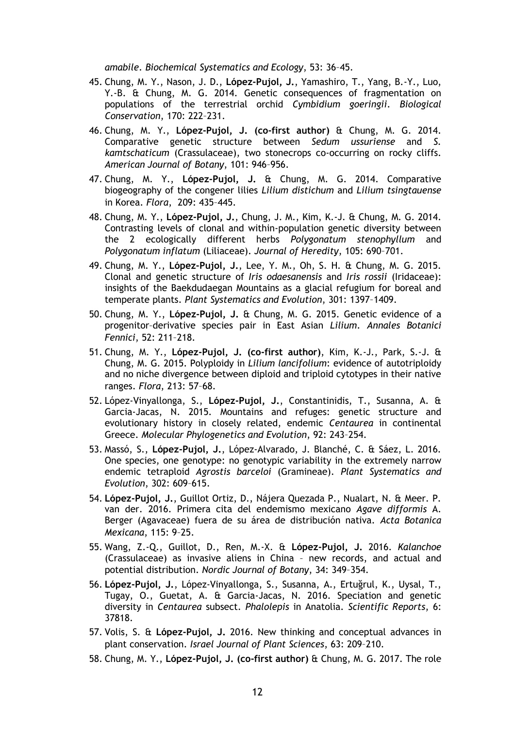*amabile*. *Biochemical Systematics and Ecology*, 53: 36–45.

- 45. Chung, M. Y., Nason, J. D., **López-Pujol, J.**, Yamashiro, T., Yang, B.-Y., Luo, Y.-B. & Chung, M. G. 2014. Genetic consequences of fragmentation on populations of the terrestrial orchid *Cymbidium goeringii*. *Biological Conservation*, 170: 222–231.
- 46. Chung, M. Y., **López-Pujol, J. (co-first author)** & Chung, M. G. 2014. Comparative genetic structure between *Sedum ussuriense* and *S. kamtschaticum* (Crassulaceae), two stonecrops co-occurring on rocky cliffs. *American Journal of Botany*, 101: 946–956.
- 47. Chung, M. Y., **López-Pujol, J.** & Chung, M. G. 2014. Comparative biogeography of the congener lilies *Lilium distichum* and *Lilium tsingtauense*  in Korea. *Flora*, 209: 435–445.
- 48. Chung, M. Y., **López-Pujol, J.**, Chung, J. M., Kim, K.-J. & Chung, M. G. 2014. Contrasting levels of clonal and within-population genetic diversity between the 2 ecologically different herbs *Polygonatum stenophyllum* and *Polygonatum inflatum* (Liliaceae). *Journal of Heredity*, 105: 690–701.
- 49. Chung, M. Y., **López-Pujol, J.**, Lee, Y. M., Oh, S. H. & Chung, M. G. 2015. Clonal and genetic structure of *Iris odaesanensis* and *Iris rossii* (Iridaceae): insights of the Baekdudaegan Mountains as a glacial refugium for boreal and temperate plants. *Plant Systematics and Evolution*, 301: 1397–1409.
- 50. Chung, M. Y., **López-Pujol, J.** & Chung, M. G. 2015. Genetic evidence of a progenitor–derivative species pair in East Asian *Lilium*. *Annales Botanici Fennici*, 52: 211–218.
- 51. Chung, M. Y., **López-Pujol, J. (co-first author)**, Kim, K.-J., Park, S.-J. & Chung, M. G. 2015. Polyploidy in *Lilium lancifolium*: evidence of autotriploidy and no niche divergence between diploid and triploid cytotypes in their native ranges. *Flora*, 213: 57–68.
- 52. López-Vinyallonga, S., **López-Pujol, J.**, Constantinidis, T., Susanna, A. & Garcia-Jacas, N. 2015. Mountains and refuges: genetic structure and evolutionary history in closely related, endemic *Centaurea* in continental Greece. *Molecular Phylogenetics and Evolution*, 92: 243–254.
- 53. Massó, S., **López-Pujol, J.**, López-Alvarado, J. Blanché, C. & Sáez, L. 2016. One species, one genotype: no genotypic variability in the extremely narrow endemic tetraploid *Agrostis barceloi* (Gramineae). *Plant Systematics and Evolution*, 302: 609–615.
- 54. **López-Pujol, J.**, Guillot Ortiz, D., Nájera Quezada P., Nualart, N. & Meer. P. van der. 2016. Primera cita del endemismo mexicano *Agave difformis* A. Berger (Agavaceae) fuera de su área de distribución nativa. *Acta Botanica Mexicana*, 115: 9–25.
- 55. Wang, Z.-Q., Guillot, D., Ren, M.-X. & **López-Pujol, J.** 2016. *Kalanchoe* (Crassulaceae) as invasive aliens in China – new records, and actual and potential distribution. *Nordic Journal of Botany*, 34: 349–354.
- 56. **López-Pujol, J.**, López-Vinyallonga, S., Susanna, A., Ertuğrul, K., Uysal, T., Tugay, O., Guetat, A. & Garcia-Jacas, N. 2016. Speciation and genetic diversity in *Centaurea* subsect. *Phalolepis* in Anatolia. *Scientific Reports*, 6: 37818.
- 57. Volis, S. & **López-Pujol, J.** 2016. New thinking and conceptual advances in plant conservation. *Israel Journal of Plant Sciences*, 63: 209–210.
- 58. Chung, M. Y., **López-Pujol, J. (co-first author)** & Chung, M. G. 2017. The role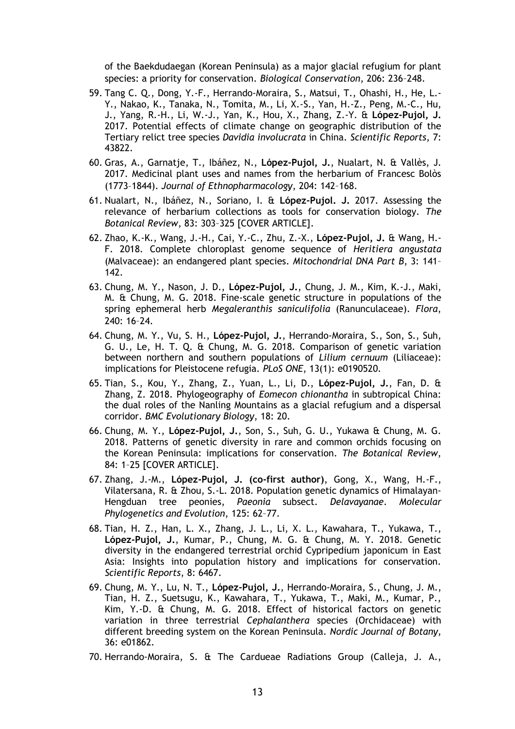of the Baekdudaegan (Korean Peninsula) as a major glacial refugium for plant species: a priority for conservation. *Biological Conservation*, 206: 236–248.

- 59. Tang C. Q., Dong, Y.-F., Herrando-Moraira, S., Matsui, T., Ohashi, H., He, L.- Y., Nakao, K., Tanaka, N., Tomita, M., Li, X.-S., Yan, H.-Z., Peng, M.-C., Hu, J., Yang, R.-H., Li, W.-J., Yan, K., Hou, X., Zhang, Z.-Y. & **López-Pujol, J.** 2017. Potential effects of climate change on geographic distribution of the Tertiary relict tree species *Davidia involucrata* in China. *Scientific Reports*, 7: 43822.
- 60. Gras, A., Garnatje, T., Ibáñez, N., **López-Pujol, J.**, Nualart, N. & Vallès, J. 2017. Medicinal plant uses and names from the herbarium of Francesc Bolòs (1773–1844). *Journal of Ethnopharmacology*, 204: 142–168.
- 61. Nualart, N., Ibáñez, N., Soriano, I. & **López-Pujol. J.** 2017. Assessing the relevance of herbarium collections as tools for conservation biology. *The Botanical Review*, 83: 303–325 [COVER ARTICLE].
- 62. Zhao, K.-K., Wang, J.-H., Cai, Y.-C., Zhu, Z.-X., **López-Pujol, J.** & Wang, H.- F. 2018. Complete chloroplast genome sequence of *Heritiera angustata* (Malvaceae): an endangered plant species. *Mitochondrial DNA Part B*, 3: 141– 142.
- 63. Chung, M. Y., Nason, J. D., **López-Pujol, J.**, Chung, J. M., Kim, K.-J., Maki, M. & Chung, M. G. 2018. Fine-scale genetic structure in populations of the spring ephemeral herb *Megaleranthis saniculifolia* (Ranunculaceae). *Flora*, 240: 16–24.
- 64. Chung, M. Y., Vu, S. H., **López-Pujol, J.**, Herrando-Moraira, S., Son, S., Suh, G. U., Le, H. T. Q. & Chung, M. G. 2018. Comparison of genetic variation between northern and southern populations of *Lilium cernuum* (Liliaceae): implications for Pleistocene refugia. *PLoS ONE*, 13(1): e0190520.
- 65. Tian, S., Kou, Y., Zhang, Z., Yuan, L., Li, D., **López-Pujol, J.**, Fan, D. & Zhang, Z. 2018. Phylogeography of *Eomecon chionantha* in subtropical China: the dual roles of the Nanling Mountains as a glacial refugium and a dispersal corridor. *BMC Evolutionary Biology*, 18: 20.
- 66. Chung, M. Y., **López-Pujol, J.**, Son, S., Suh, G. U., Yukawa & Chung, M. G. 2018. Patterns of genetic diversity in rare and common orchids focusing on the Korean Peninsula: implications for conservation. *The Botanical Review*, 84: 1–25 [COVER ARTICLE].
- 67. Zhang, J.-M., **López-Pujol, J. (co-first author)**, Gong, X., Wang, H.-F., Vilatersana, R. & Zhou, S.-L. 2018. Population genetic dynamics of Himalayan-Hengduan tree peonies, *Paeonia* subsect. *Delavayanae*. *Molecular Phylogenetics and Evolution*, 125: 62–77.
- 68. Tian, H. Z., Han, L. X., Zhang, J. L., Li, X. L., Kawahara, T., Yukawa, T., **López-Pujol, J.**, Kumar, P., Chung, M. G. & Chung, M. Y. 2018. Genetic diversity in the endangered terrestrial orchid Cypripedium japonicum in East Asia: Insights into population history and implications for conservation. *Scientific Reports*, 8: 6467.
- 69. Chung, M. Y., Lu, N. T., **López-Pujol, J.**, Herrando-Moraira, S., Chung, J. M., Tian, H. Z., Suetsugu, K., Kawahara, T., Yukawa, T., Maki, M., Kumar, P., Kim, Y.-D. & Chung, M. G. 2018. Effect of historical factors on genetic variation in three terrestrial *Cephalanthera* species (Orchidaceae) with different breeding system on the Korean Peninsula. *Nordic Journal of Botany*, 36: e01862.
- 70. Herrando-Moraira, S. & The Cardueae Radiations Group (Calleja, J. A.,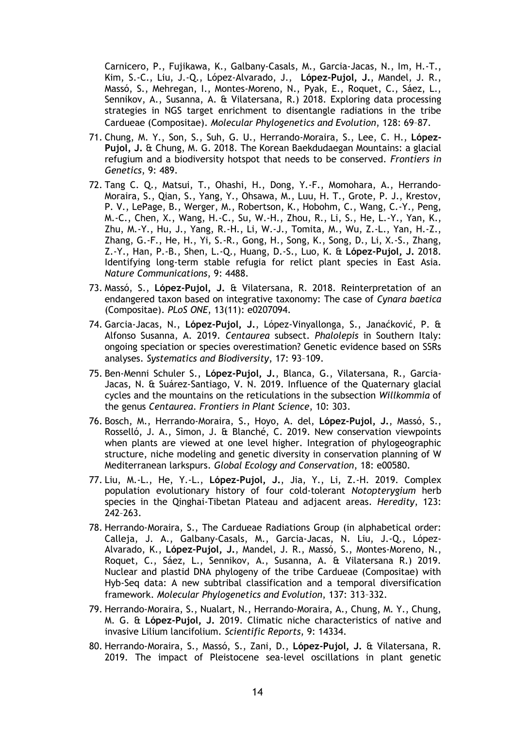Carnicero, P., Fujikawa, K., Galbany-Casals, M., Garcia-Jacas, N., Im, H.-T., Kim, S.-C., Liu, J.-Q., López-Alvarado, J., **López-Pujol, J.**, Mandel, J. R., Massó, S., Mehregan, I., Montes-Moreno, N., Pyak, E., Roquet, C., Sáez, L., Sennikov, A., Susanna, A. & Vilatersana, R.) 2018. Exploring data processing strategies in NGS target enrichment to disentangle radiations in the tribe Cardueae (Compositae). *Molecular Phylogenetics and Evolution*, 128: 69–87.

- 71. Chung, M. Y., Son, S., Suh, G. U., Herrando-Moraira, S., Lee, C. H., **López-Pujol, J.** & Chung, M. G. 2018. The Korean Baekdudaegan Mountains: a glacial refugium and a biodiversity hotspot that needs to be conserved. *Frontiers in Genetics*, 9: 489.
- 72. Tang C. Q., Matsui, T., Ohashi, H., Dong, Y.-F., Momohara, A., Herrando-Moraira, S., Qian, S., Yang, Y., Ohsawa, M., Luu, H. T., Grote, P. J., Krestov, P. V., LePage, B., Werger, M., Robertson, K., Hobohm, C., Wang, C.-Y., Peng, M.-C., Chen, X., Wang, H.-C., Su, W.-H., Zhou, R., Li, S., He, L.-Y., Yan, K., Zhu, M.-Y., Hu, J., Yang, R.-H., Li, W.-J., Tomita, M., Wu, Z.-L., Yan, H.-Z., Zhang, G.-F., He, H., Yi, S.-R., Gong, H., Song, K., Song, D., Li, X.-S., Zhang, Z.-Y., Han, P.-B., Shen, L.-Q., Huang, D.-S., Luo, K. & **López-Pujol, J.** 2018. Identifying long-term stable refugia for relict plant species in East Asia. *Nature Communications*, 9: 4488.
- 73. Massó, S., **López-Pujol, J.** & Vilatersana, R. 2018. Reinterpretation of an endangered taxon based on integrative taxonomy: The case of *Cynara baetica* (Compositae). *PLoS ONE*, 13(11): e0207094.
- 74. Garcia-Jacas, N., **López-Pujol, J.**, López-Vinyallonga, S., Janaćković, P. & Alfonso Susanna, A. 2019. *Centaurea* subsect. *Phalolepis* in Southern Italy: ongoing speciation or species overestimation? Genetic evidence based on SSRs analyses. *Systematics and Biodiversity*, 17: 93–109.
- 75. Ben-Menni Schuler S., **López-Pujol, J.**, Blanca, G., Vilatersana, R., Garcia-Jacas, N. & Suárez-Santiago, V. N. 2019. Influence of the Quaternary glacial cycles and the mountains on the reticulations in the subsection *Willkommia* of the genus *Centaurea*. *Frontiers in Plant Science*, 10: 303.
- 76. Bosch, M., Herrando-Moraira, S., Hoyo, A. del, **López-Pujol, J.**, Massó, S., Rosselló, J. A., Simon, J. & Blanché, C. 2019. New conservation viewpoints when plants are viewed at one level higher. Integration of phylogeographic structure, niche modeling and genetic diversity in conservation planning of W Mediterranean larkspurs. *Global Ecology and Conservation*, 18: e00580.
- 77. Liu, M.-L., He, Y.-L., **López-Pujol, J.**, Jia, Y., Li, Z.-H. 2019. Complex population evolutionary history of four cold-tolerant *Notopterygium* herb species in the Qinghai-Tibetan Plateau and adjacent areas. *Heredity*, 123: 242–263.
- 78. Herrando-Moraira, S., The Cardueae Radiations Group (in alphabetical order: Calleja, J. A., Galbany-Casals, M., Garcia-Jacas, N. Liu, J.-Q., López-Alvarado, K., **López-Pujol, J.**, Mandel, J. R., Massó, S., Montes-Moreno, N., Roquet, C., Sáez, L., Sennikov, A., Susanna, A. & Vilatersana R.) 2019. Nuclear and plastid DNA phylogeny of the tribe Cardueae (Compositae) with Hyb-Seq data: A new subtribal classification and a temporal diversification framework. *Molecular Phylogenetics and Evolution*, 137: 313–332.
- 79. Herrando-Moraira, S., Nualart, N., Herrando-Moraira, A., Chung, M. Y., Chung, M. G. & **López-Pujol, J.** 2019. Climatic niche characteristics of native and invasive Lilium lancifolium. *Scientific Reports*, 9: 14334.
- 80. Herrando-Moraira, S., Massó, S., Zani, D., **López-Pujol, J.** & Vilatersana, R. 2019. The impact of Pleistocene sea-level oscillations in plant genetic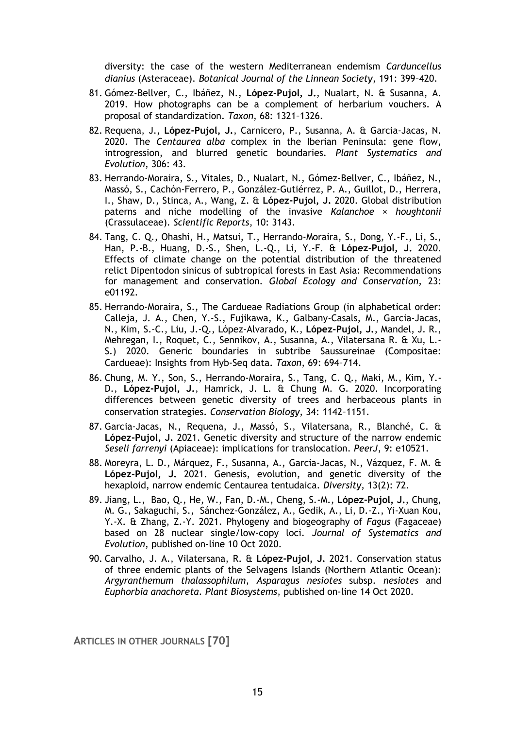diversity: the case of the western Mediterranean endemism *Carduncellus dianius* (Asteraceae). *Botanical Journal of the Linnean Society*, 191: 399–420.

- 81. Gómez-Bellver, C., Ibáñez, N., **López-Pujol, J.**, Nualart, N. & Susanna, A. 2019. How photographs can be a complement of herbarium vouchers. A proposal of standardization. *Taxon*, 68: 1321–1326.
- 82. Requena, J., **López-Pujol, J.**, Carnicero, P., Susanna, A. & Garcia-Jacas, N. 2020. The *Centaurea alba* complex in the Iberian Peninsula: gene flow, introgression, and blurred genetic boundaries. *Plant Systematics and Evolution*, 306: 43.
- 83. Herrando-Moraira, S., Vitales, D., Nualart, N., Gómez-Bellver, C., Ibáñez, N., Massó, S., Cachón-Ferrero, P., González-Gutiérrez, P. A., Guillot, D., Herrera, I., Shaw, D., Stinca, A., Wang, Z. & **López-Pujol, J.** 2020. Global distribution paterns and niche modelling of the invasive *Kalanchoe* × *houghtonii* (Crassulaceae). *Scientific Reports*, 10: 3143.
- 84. Tang, C. Q., Ohashi, H., Matsui, T., Herrando-Moraira, S., Dong, Y.-F., Li, S., Han, P.-B., Huang, D.-S., Shen, L.-Q., Li, Y.-F. & **López-Pujol, J.** 2020. Effects of climate change on the potential distribution of the threatened relict Dipentodon sinicus of subtropical forests in East Asia: Recommendations for management and conservation. *Global Ecology and Conservation*, 23: e01192.
- 85. Herrando-Moraira, S., The Cardueae Radiations Group (in alphabetical order: Calleja, J. A., Chen, Y.-S., Fujikawa, K., Galbany-Casals, M., Garcia-Jacas, N., Kim, S.-C., Liu, J.-Q., López-Alvarado, K., **López-Pujol, J.**, Mandel, J. R., Mehregan, I., Roquet, C., Sennikov, A., Susanna, A., Vilatersana R. & Xu, L.- S.) 2020. Generic boundaries in subtribe Saussureinae (Compositae: Cardueae): Insights from Hyb-Seq data. *Taxon*, 69: 694–714.
- 86. Chung, M. Y., Son, S., Herrando-Moraira, S., Tang, C. Q., Maki, M., Kim, Y.- D., **López-Pujol, J.**, Hamrick, J. L. & Chung M. G. 2020. Incorporating differences between genetic diversity of trees and herbaceous plants in conservation strategies. *Conservation Biology*, 34: 1142–1151.
- 87. Garcia-Jacas, N., Requena, J., Massó, S., Vilatersana, R., Blanché, C. & **López-Pujol, J.** 2021. Genetic diversity and structure of the narrow endemic *Seseli farrenyi* (Apiaceae): implications for translocation. *PeerJ*, 9: e10521.
- 88. Moreyra, L. D., Márquez, F., Susanna, A., Garcia-Jacas, N., Vázquez, F. M. & **López-Pujol, J.** 2021. Genesis, evolution, and genetic diversity of the hexaploid, narrow endemic Centaurea tentudaica. *Diversity*, 13(2): 72.
- 89. Jiang, L., Bao, Q., He, W., Fan, D.-M., Cheng, S.-M., **López-Pujol, J.**, Chung, M. G., Sakaguchi, S., Sánchez-González, A., Gedik, A., Li, D.-Z., Yi-Xuan Kou, Y.-X. & Zhang, Z.-Y. 2021. Phylogeny and biogeography of *Fagus* (Fagaceae) based on 28 nuclear single/low-copy loci. *Journal of Systematics and Evolution*, published on-line 10 Oct 2020.
- 90. Carvalho, J. A., Vilatersana, R. & **López-Pujol, J.** 2021. Conservation status of three endemic plants of the Selvagens Islands (Northern Atlantic Ocean): *Argyranthemum thalassophilum*, *Asparagus nesiotes* subsp. *nesiotes* and *Euphorbia anachoreta*. *Plant Biosystems*, published on-line 14 Oct 2020.

**ARTICLES IN OTHER JOURNALS [70]**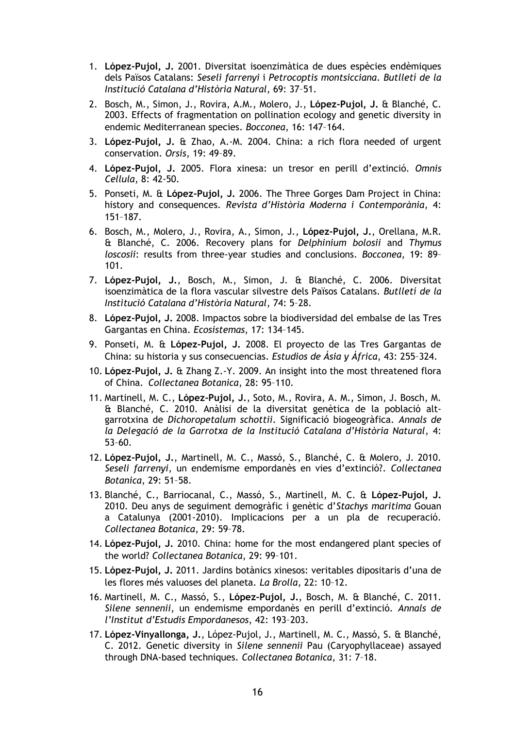- 1. **López-Pujol, J.** 2001. Diversitat isoenzimàtica de dues espècies endèmiques dels Països Catalans: *Seseli farrenyi* i *Petrocoptis montsicciana*. *Butlletí de la Institució Catalana d'Història Natural*, 69: 37–51.
- 2. Bosch, M., Simon, J., Rovira, A.M., Molero, J., **López-Pujol, J.** & Blanché, C. 2003. Effects of fragmentation on pollination ecology and genetic diversity in endemic Mediterranean species. *Bocconea*, 16: 147–164.
- 3. **López-Pujol, J.** & Zhao, A.-M. 2004. China: a rich flora needed of urgent conservation. *Orsis*, 19: 49–89.
- 4. **López-Pujol, J.** 2005. Flora xinesa: un tresor en perill d'extinció. *Omnis Cellula*, 8: 42-50.
- 5. Ponseti, M. & **López-Pujol, J.** 2006. The Three Gorges Dam Project in China: history and consequences. *Revista d'Història Moderna i Contemporània*, 4: 151–187.
- 6. Bosch, M., Molero, J., Rovira, A., Simon, J., **López-Pujol, J.**, Orellana, M.R. & Blanché, C. 2006. Recovery plans for *Delphinium bolosii* and *Thymus loscosii*: results from three-year studies and conclusions. *Bocconea*, 19: 89– 101.
- 7. **López-Pujol, J.**, Bosch, M., Simon, J. & Blanché, C. 2006. Diversitat isoenzimàtica de la flora vascular silvestre dels Països Catalans. *Butlletí de la Institució Catalana d'Història Natural*, 74: 5–28.
- 8. **López-Pujol, J.** 2008. Impactos sobre la biodiversidad del embalse de las Tres Gargantas en China. *Ecosistemas*, 17: 134–145.
- 9. Ponseti, M. & **López-Pujol, J.** 2008. El proyecto de las Tres Gargantas de China: su historia y sus consecuencias. *Estudios de Ásia y África*, 43: 255–324.
- 10. **López-Pujol, J.** & Zhang Z.-Y. 2009. An insight into the most threatened flora of China. *Collectanea Botanica*, 28: 95–110.
- 11. Martinell, M. C., **López-Pujol, J.**, Soto, M., Rovira, A. M., Simon, J. Bosch, M. & Blanché, C. 2010. Anàlisi de la diversitat genètica de la població altgarrotxina de *Dichoropetalum schottii*. Significació biogeogràfica. *Annals de la Delegació de la Garrotxa de la Institució Catalana d'Història Natural*, 4: 53–60.
- 12. **López-Pujol, J.**, Martinell, M. C., Massó, S., Blanché, C. & Molero, J. 2010. *Seseli farrenyi*, un endemisme empordanès en vies d'extinció?. *Collectanea Botanica*, 29: 51–58.
- 13. Blanché, C., Barriocanal, C., Massó, S., Martinell, M. C. & **López-Pujol, J.** 2010. Deu anys de seguiment demogràfic i genètic d'*Stachys maritima* Gouan a Catalunya (2001-2010). Implicacions per a un pla de recuperació. *Collectanea Botanica*, 29: 59–78.
- 14. **López-Pujol, J.** 2010. China: home for the most endangered plant species of the world? *Collectanea Botanica*, 29: 99–101.
- 15. **López-Pujol, J.** 2011. Jardins botànics xinesos: veritables dipositaris d'una de les flores més valuoses del planeta. *La Brolla*, 22: 10–12.
- 16. Martinell, M. C., Massó, S., **López-Pujol, J.**, Bosch, M. & Blanché, C. 2011. *Silene sennenii*, un endemisme empordanès en perill d'extinció. *Annals de l'Institut d'Estudis Empordanesos*, 42: 193–203.
- 17. **López-Vinyallonga, J.**, López-Pujol, J., Martinell, M. C., Massó, S. & Blanché, C. 2012. Genetic diversity in *Silene sennenii* Pau (Caryophyllaceae) assayed through DNA-based techniques. *Collectanea Botanica*, 31: 7–18.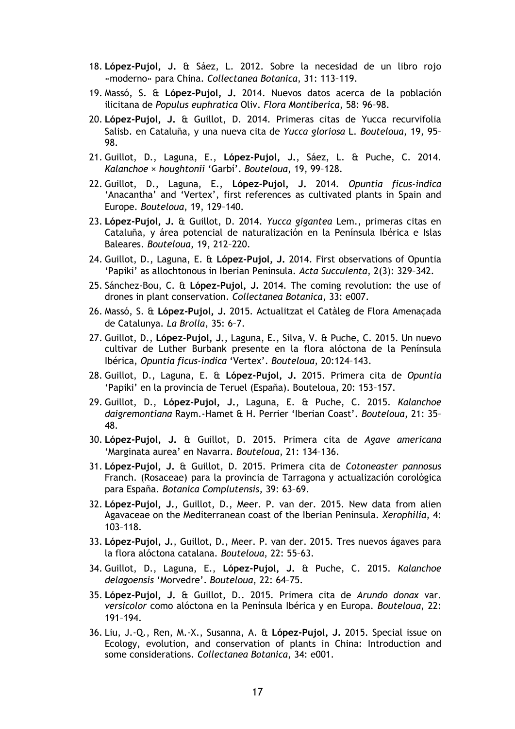- 18. **López-Pujol, J.** & Sáez, L. 2012. Sobre la necesidad de un libro rojo «moderno» para China. *Collectanea Botanica*, 31: 113–119.
- 19. Massó, S. & **López-Pujol, J.** 2014. Nuevos datos acerca de la población ilicitana de *Populus euphratica* Oliv. *Flora Montiberica*, 58: 96–98.
- 20. **López-Pujol, J.** & Guillot, D. 2014. Primeras citas de Yucca recurvifolia Salisb. en Cataluña, y una nueva cita de *Yucca gloriosa* L. *Bouteloua*, 19, 95– 98.
- 21. Guillot, D., Laguna, E., **López-Pujol, J.**, Sáez, L. & Puche, C. 2014. *Kalanchoe × houghtonii* 'Garbí'. *Bouteloua*, 19, 99–128.
- 22. Guillot, D., Laguna, E., **López-Pujol, J.** 2014. *Opuntia ficus-indica*  'Anacantha' and 'Vertex', first references as cultivated plants in Spain and Europe. *Bouteloua*, 19, 129–140.
- 23. **López-Pujol, J.** & Guillot, D. 2014. *Yucca gigantea* Lem., primeras citas en Cataluña, y área potencial de naturalización en la Península Ibérica e Islas Baleares. *Bouteloua*, 19, 212–220.
- 24. Guillot, D., Laguna, E. & **López-Pujol, J.** 2014. First observations of Opuntia 'Papiki' as allochtonous in Iberian Peninsula. *Acta Succulenta*, 2(3): 329–342.
- 25. Sánchez-Bou, C. & **López-Pujol, J.** 2014. The coming revolution: the use of drones in plant conservation. *Collectanea Botanica*, 33: e007.
- 26. Massó, S. & **López-Pujol, J.** 2015. Actualitzat el Catàleg de Flora Amenaçada de Catalunya. *La Brolla*, 35: 6–7.
- 27. Guillot, D., **López-Pujol, J.**, Laguna, E., Silva, V. & Puche, C. 2015. Un nuevo cultivar de Luther Burbank presente en la flora alóctona de la Península Ibérica, *Opuntia ficus-indica* 'Vertex'. *Bouteloua*, 20:124–143.
- 28. Guillot, D., Laguna, E. & **López-Pujol, J.** 2015. Primera cita de *Opuntia* 'Papiki' en la provincia de Teruel (España). Bouteloua, 20: 153–157.
- 29. Guillot, D., **López-Pujol, J.**, Laguna, E. & Puche, C. 2015. *Kalanchoe daigremontiana* Raym.-Hamet & H. Perrier 'Iberian Coast'. *Bouteloua*, 21: 35– 48.
- 30. **López-Pujol, J.** & Guillot, D. 2015. Primera cita de *Agave americana* 'Marginata aurea' en Navarra. *Bouteloua*, 21: 134–136.
- 31. **López-Pujol, J.** & Guillot, D. 2015. Primera cita de *Cotoneaster pannosus* Franch. (Rosaceae) para la provincia de Tarragona y actualización corológica para España. *Botanica Complutensis*, 39: 63–69.
- 32. **López-Pujol, J.**, Guillot, D., Meer. P. van der. 2015. New data from alien Agavaceae on the Mediterranean coast of the Iberian Peninsula*. Xerophilia*, 4: 103–118.
- 33. **López-Pujol, J.**, Guillot, D., Meer. P. van der. 2015. Tres nuevos ágaves para la flora alóctona catalana. *Bouteloua*, 22: 55–63.
- 34. Guillot, D., Laguna, E., **López-Pujol, J.** & Puche, C. 2015. *Kalanchoe delagoensis* 'Morvedre'. *Bouteloua*, 22: 64–75.
- 35. **López-Pujol, J.** & Guillot, D.. 2015. Primera cita de *Arundo donax* var. *versicolor* como alóctona en la Península Ibérica y en Europa. *Bouteloua*, 22: 191–194.
- 36. Liu, J.-Q., Ren, M.-X., Susanna, A. & **López-Pujol, J.** 2015. Special issue on Ecology, evolution, and conservation of plants in China: Introduction and some considerations. *Collectanea Botanica*, 34: e001.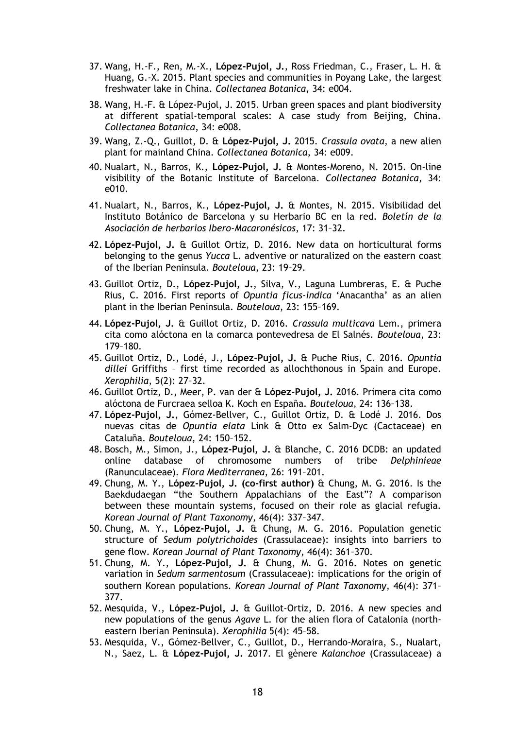- 37. Wang, H.-F., Ren, M.-X., **López-Pujol, J.**, Ross Friedman, C., Fraser, L. H. & Huang, G.-X. 2015. Plant species and communities in Poyang Lake, the largest freshwater lake in China. *Collectanea Botanica*, 34: e004.
- 38. Wang, H.-F. & López-Pujol, J. 2015. Urban green spaces and plant biodiversity at different spatial-temporal scales: A case study from Beijing, China. *Collectanea Botanica*, 34: e008.
- 39. Wang, Z.-Q., Guillot, D. & **López-Pujol, J.** 2015. *Crassula ovata*, a new alien plant for mainland China. *Collectanea Botanica*, 34: e009.
- 40. Nualart, N., Barros, K., **López-Pujol, J.** & Montes-Moreno, N. 2015. On-line visibility of the Botanic Institute of Barcelona. *Collectanea Botanica*, 34: e010.
- 41. Nualart, N., Barros, K., **López-Pujol, J.** & Montes, N. 2015. Visibilidad del Instituto Botánico de Barcelona y su Herbario BC en la red. *Boletín de la Asociación de herbarios Ibero-Macaronésicos*, 17: 31–32.
- 42. **López-Pujol, J.** & Guillot Ortiz, D. 2016. New data on horticultural forms belonging to the genus *Yucca* L. adventive or naturalized on the eastern coast of the Iberian Peninsula. *Bouteloua*, 23: 19–29.
- 43. Guillot Ortiz, D., **López-Pujol, J.**, Silva, V., Laguna Lumbreras, E. & Puche Rius, C. 2016. First reports of *Opuntia ficus-indica* 'Anacantha' as an alien plant in the Iberian Peninsula. *Bouteloua*, 23: 155–169.
- 44. **López-Pujol, J.** & Guillot Ortiz, D. 2016. *Crassula multicava* Lem., primera cita como alóctona en la comarca pontevedresa de El Salnés. *Bouteloua*, 23: 179–180.
- 45. Guillot Ortiz, D., Lodé, J., **López-Pujol, J.** & Puche Rius, C. 2016. *Opuntia dillei* Griffiths – first time recorded as allochthonous in Spain and Europe. *Xerophilia*, 5(2): 27–32.
- 46. Guillot Ortiz, D., Meer, P. van der & **López-Pujol, J.** 2016. Primera cita como alóctona de Furcraea selloa K. Koch en España. *Bouteloua*, 24: 136–138.
- 47. **López-Pujol, J.**, Gómez-Bellver, C., Guillot Ortiz, D. & Lodé J. 2016. Dos nuevas citas de *Opuntia elata* Link & Otto ex Salm-Dyc (Cactaceae) en Cataluña. *Bouteloua*, 24: 150–152.
- 48. Bosch, M., Simon, J., **López-Pujol, J.** & Blanche, C. 2016 DCDB: an updated online database of chromosome numbers of tribe *Delphinieae* (Ranunculaceae). *Flora Mediterranea*, 26: 191–201.
- 49. Chung, M. Y., **López-Pujol, J. (co-first author)** & Chung, M. G. 2016. Is the Baekdudaegan "the Southern Appalachians of the East"? A comparison between these mountain systems, focused on their role as glacial refugia. *Korean Journal of Plant Taxonomy*, 46(4): 337–347.
- 50. Chung, M. Y., **López-Pujol, J.** & Chung, M. G. 2016. Population genetic structure of *Sedum polytrichoides* (Crassulaceae): insights into barriers to gene flow. *Korean Journal of Plant Taxonomy*, 46(4): 361–370.
- 51. Chung, M. Y., **López-Pujol, J.** & Chung, M. G. 2016. Notes on genetic variation in *Sedum sarmentosum* (Crassulaceae): implications for the origin of southern Korean populations. *Korean Journal of Plant Taxonomy*, 46(4): 371– 377.
- 52. Mesquida, V., **López-Pujol, J.** & Guillot-Ortiz, D. 2016. A new species and new populations of the genus *Agave* L. for the alien flora of Catalonia (northeastern Iberian Peninsula). *Xerophilia* 5(4): 45–58.
- 53. Mesquida, V., Gómez-Bellver, C., Guillot, D., Herrando-Moraira, S., Nualart, N., Saez, L. & **López-Pujol, J.** 2017. El gènere *Kalanchoe* (Crassulaceae) a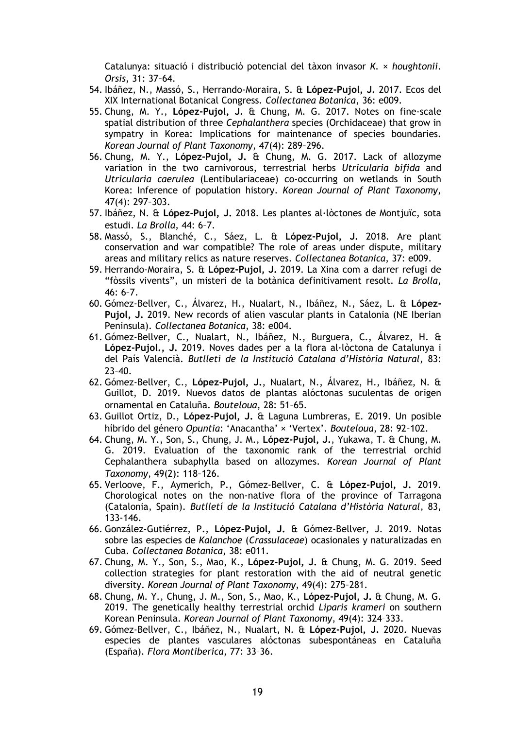Catalunya: situació i distribució potencial del tàxon invasor *K.* × *houghtonii*. *Orsis*, 31: 37–64.

- 54. Ibáñez, N., Massó, S., Herrando-Moraira, S. & **López-Pujol, J.** 2017. Ecos del XIX International Botanical Congress. *Collectanea Botanica*, 36: e009.
- 55. Chung, M. Y., **López-Pujol, J.** & Chung, M. G. 2017. Notes on fine-scale spatial distribution of three *Cephalanthera* species (Orchidaceae) that grow in sympatry in Korea: Implications for maintenance of species boundaries. *Korean Journal of Plant Taxonomy*, 47(4): 289–296.
- 56. Chung, M. Y., **López-Pujol, J.** & Chung, M. G. 2017. Lack of allozyme variation in the two carnivorous, terrestrial herbs *Utricularia bifida* and *Utricularia caerulea* (Lentibulariaceae) co-occurring on wetlands in South Korea: Inference of population history. *Korean Journal of Plant Taxonomy*, 47(4): 297–303.
- 57. Ibáñez, N. & **López-Pujol, J.** 2018. Les plantes al·lòctones de Montjuïc, sota estudi. *La Brolla*, 44: 6–7.
- 58. Massó, S., Blanché, C., Sáez, L. & **López-Pujol, J.** 2018. Are plant conservation and war compatible? The role of areas under dispute, military areas and military relics as nature reserves. *Collectanea Botanica*, 37: e009.
- 59. Herrando-Moraira, S. & **López-Pujol, J.** 2019. La Xina com a darrer refugi de "fòssils vivents", un misteri de la botànica definitivament resolt. *La Brolla*, 46: 6–7.
- 60. Gómez-Bellver, C., Álvarez, H., Nualart, N., Ibáñez, N., Sáez, L. & **López-Pujol, J.** 2019. New records of alien vascular plants in Catalonia (NE Iberian Peninsula). *Collectanea Botanica*, 38: e004.
- 61. Gómez-Bellver, C., Nualart, N., Ibáñez, N., Burguera, C., Álvarez, H. & **López-Pujol., J.** 2019. Noves dades per a la flora al·lòctona de Catalunya i del País Valencià. *Butlletí de la Institució Catalana d'Història Natural*, 83: 23–40.
- 62. Gómez-Bellver, C., **López-Pujol, J.**, Nualart, N., Álvarez, H., Ibáñez, N. & Guillot, D. 2019. Nuevos datos de plantas alóctonas suculentas de origen ornamental en Cataluña. *Bouteloua*, 28: 51–65.
- 63. Guillot Ortiz, D., **López-Pujol, J.** & Laguna Lumbreras, E. 2019. Un posible híbrido del género *Opuntia*: 'Anacantha' × 'Vertex'. *Bouteloua*, 28: 92–102.
- 64. Chung, M. Y., Son, S., Chung, J. M., **López-Pujol, J.**, Yukawa, T. & Chung, M. G. 2019. Evaluation of the taxonomic rank of the terrestrial orchid Cephalanthera subaphylla based on allozymes. *Korean Journal of Plant Taxonomy*, 49(2): 118–126.
- 65. Verloove, F., Aymerich, P., Gómez-Bellver, C. & **López-Pujol, J.** 2019. Chorological notes on the non-native flora of the province of Tarragona (Catalonia, Spain). *Butlletí de la Institució Catalana d'Història Natural*, 83, 133-146.
- 66. González-Gutiérrez, P., **López-Pujol, J.** & Gómez-Bellver, J. 2019. Notas sobre las especies de *Kalanchoe* (*Crassulaceae*) ocasionales y naturalizadas en Cuba. *Collectanea Botanica*, 38: e011.
- 67. Chung, M. Y., Son, S., Mao, K., **López-Pujol, J.** & Chung, M. G. 2019. Seed collection strategies for plant restoration with the aid of neutral genetic diversity. *Korean Journal of Plant Taxonomy*, 49(4): 275–281.
- 68. Chung, M. Y., Chung, J. M., Son, S., Mao, K., **López-Pujol, J.** & Chung, M. G. 2019. The genetically healthy terrestrial orchid *Liparis krameri* on southern Korean Peninsula. *Korean Journal of Plant Taxonomy*, 49(4): 324–333.
- 69. Gómez-Bellver, C., Ibáñez, N., Nualart, N. & **López-Pujol, J.** 2020. Nuevas especies de plantes vasculares alóctonas subespontáneas en Cataluña (España). *Flora Montiberica*, 77: 33–36.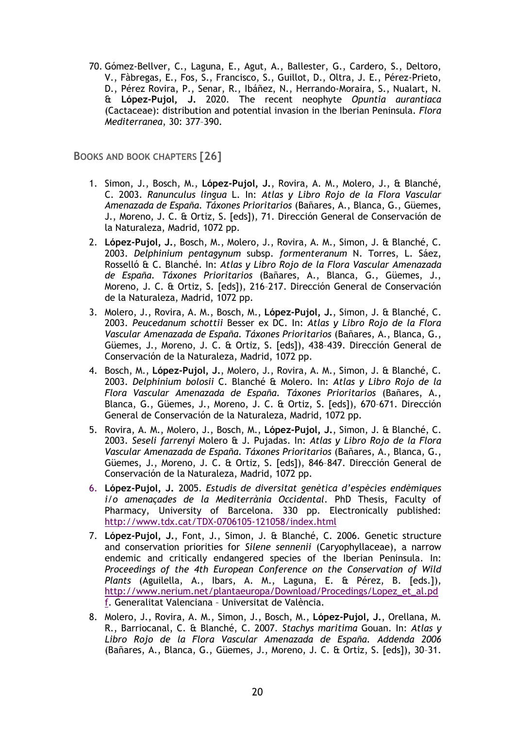70. Gómez-Bellver, C., Laguna, E., Agut, A., Ballester, G., Cardero, S., Deltoro, V., Fàbregas, E., Fos, S., Francisco, S., Guillot, D., Oltra, J. E., Pérez-Prieto, D., Pérez Rovira, P., Senar, R., Ibáñez, N., Herrando-Moraira, S., Nualart, N. & **López-Pujol, J.** 2020. The recent neophyte *Opuntia aurantiaca* (Cactaceae): distribution and potential invasion in the Iberian Peninsula. *Flora Mediterranea*, 30: 377–390.

**BOOKS AND BOOK CHAPTERS [26]**

- 1. Simon, J., Bosch, M., **López-Pujol, J.**, Rovira, A. M., Molero, J., & Blanché, C. 2003. *Ranunculus lingua* L. In: *Atlas y Libro Rojo de la Flora Vascular Amenazada de España. Táxones Prioritarios* (Bañares, A., Blanca, G., Güemes, J., Moreno, J. C. & Ortiz, S. [eds]), 71. Dirección General de Conservación de la Naturaleza, Madrid, 1072 pp.
- 2. **López-Pujol, J.**, Bosch, M., Molero, J., Rovira, A. M., Simon, J. & Blanché, C. 2003. *Delphinium pentagynum* subsp. *formenteranum* N. Torres, L. Sáez, Rosselló & C. Blanché. In: *Atlas y Libro Rojo de la Flora Vascular Amenazada de España. Táxones Prioritarios* (Bañares, A., Blanca, G., Güemes, J., Moreno, J. C. & Ortiz, S. [eds]), 216–217. Dirección General de Conservación de la Naturaleza, Madrid, 1072 pp.
- 3. Molero, J., Rovira, A. M., Bosch, M., **López-Pujol, J.**, Simon, J. & Blanché, C. 2003. *Peucedanum schottii* Besser ex DC. In: *Atlas y Libro Rojo de la Flora Vascular Amenazada de España. Táxones Prioritarios* (Bañares, A., Blanca, G., Güemes, J., Moreno, J. C. & Ortiz, S. [eds]), 438–439. Dirección General de Conservación de la Naturaleza, Madrid, 1072 pp.
- 4. Bosch, M., **López-Pujol, J.**, Molero, J., Rovira, A. M., Simon, J. & Blanché, C. 2003. *Delphinium bolosii* C. Blanché & Molero. In: *Atlas y Libro Rojo de la Flora Vascular Amenazada de España. Táxones Prioritarios* (Bañares, A., Blanca, G., Güemes, J., Moreno, J. C. & Ortiz, S. [eds]), 670–671. Dirección General de Conservación de la Naturaleza, Madrid, 1072 pp.
- 5. Rovira, A. M., Molero, J., Bosch, M., **López-Pujol, J.**, Simon, J. & Blanché, C. 2003. *Seseli farrenyi* Molero & J. Pujadas. In: *Atlas y Libro Rojo de la Flora Vascular Amenazada de España. Táxones Prioritarios* (Bañares, A., Blanca, G., Güemes, J., Moreno, J. C. & Ortiz, S. [eds]), 846–847. Dirección General de Conservación de la Naturaleza, Madrid, 1072 pp.
- 6. **López-Pujol, J.** 2005. *Estudis de diversitat genètica d'espècies endèmiques i/o amenaçades de la Mediterrània Occidental*. PhD Thesis, Faculty of Pharmacy, University of Barcelona. 330 pp. Electronically published: <http://www.tdx.cat/TDX-0706105-121058/index.html>
- 7. **López-Pujol, J.**, Font, J., Simon, J. & Blanché, C. 2006. Genetic structure and conservation priorities for *Silene sennenii* (Caryophyllaceae), a narrow endemic and critically endangered species of the Iberian Peninsula. In: *Proceedings of the 4th European Conference on the Conservation of Wild Plants* (Aguilella, A., Ibars, A. M., Laguna, E. & Pérez, B. [eds.]), [http://www.nerium.net/plantaeuropa/Download/Procedings/Lopez\\_et\\_al.pd](http://www.nerium.net/plantaeuropa/Download/Procedings/Lopez_et_al.pdf) [f.](http://www.nerium.net/plantaeuropa/Download/Procedings/Lopez_et_al.pdf) Generalitat Valenciana – Universitat de València.
- 8. Molero, J., Rovira, A. M., Simon, J., Bosch, M., **López-Pujol, J.**, Orellana, M. R., Barriocanal, C. & Blanché, C. 2007. *Stachys maritima* Gouan. In: *Atlas y Libro Rojo de la Flora Vascular Amenazada de España. Addenda 2006*  (Bañares, A., Blanca, G., Güemes, J., Moreno, J. C. & Ortiz, S. [eds]), 30–31.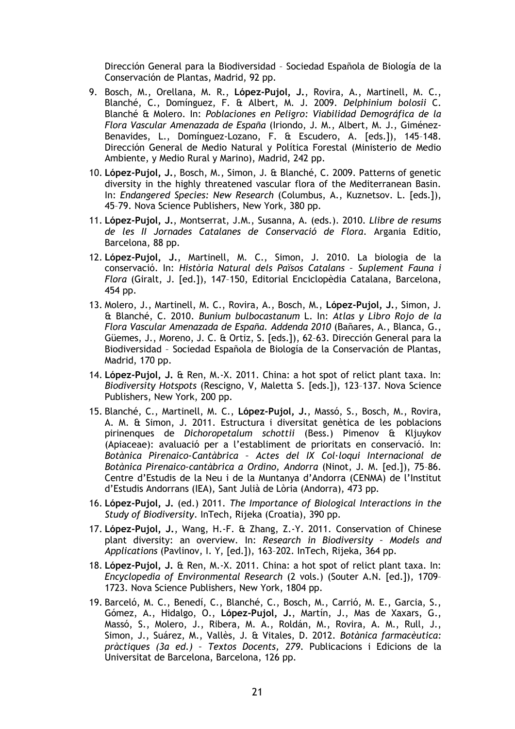Dirección General para la Biodiversidad – Sociedad Española de Biología de la Conservación de Plantas, Madrid, 92 pp.

- 9. Bosch, M., Orellana, M. R., **López-Pujol, J.**, Rovira, A., Martinell, M. C., Blanché, C., Domínguez, F. & Albert, M. J. 2009. *Delphinium bolosii* C. Blanché & Molero. In: *Poblaciones en Peligro: Viabilidad Demográfica de la Flora Vascular Amenazada de España* (Iriondo, J. M., Albert, M. J., Giménez-Benavides, L., Domínguez-Lozano, F. & Escudero, A. [eds.]), 145–148. Dirección General de Medio Natural y Política Forestal (Ministerio de Medio Ambiente, y Medio Rural y Marino), Madrid, 242 pp.
- 10. **López-Pujol, J.**, Bosch, M., Simon, J. & Blanché, C. 2009. Patterns of genetic diversity in the highly threatened vascular flora of the Mediterranean Basin. In: *Endangered Species: New Research* (Columbus, A., Kuznetsov. L. [eds.]), 45–79. Nova Science Publishers, New York, 380 pp.
- 11. **López-Pujol, J.**, Montserrat, J.M., Susanna, A. (eds.). 2010. *Llibre de resums de les II Jornades Catalanes de Conservació de Flora*. Argania Editio, Barcelona, 88 pp.
- 12. **López-Pujol, J.**, Martinell, M. C., Simon, J. 2010. La biologia de la conservació. In: *Història Natural dels Països Catalans – Suplement Fauna i Flora* (Giralt, J. [ed.]), 147–150, Editorial Enciclopèdia Catalana, Barcelona, 454 pp.
- 13. Molero, J., Martinell, M. C., Rovira, A., Bosch, M., **López-Pujol, J.**, Simon, J. & Blanché, C. 2010. *Bunium bulbocastanum* L. In: *Atlas y Libro Rojo de la Flora Vascular Amenazada de España. Addenda 2010* (Bañares, A., Blanca, G., Güemes, J., Moreno, J. C. & Ortiz, S. [eds.]), 62–63. Dirección General para la Biodiversidad – Sociedad Española de Biología de la Conservación de Plantas, Madrid, 170 pp.
- 14. **López-Pujol, J.** & Ren, M.-X. 2011. China: a hot spot of relict plant taxa. In: *Biodiversity Hotspots* (Rescigno, V, Maletta S. [eds.]), 123–137. Nova Science Publishers, New York, 200 pp.
- 15. Blanché, C., Martinell, M. C., **López-Pujol, J.**, Massó, S., Bosch, M., Rovira, A. M. & Simon, J. 2011. Estructura i diversitat genètica de les poblacions pirinenques de *Dichoropetalum schottii* (Bess.) Pimenov & Kljuykov (Apiaceae): avaluació per a l'establiment de prioritats en conservació. In: *Botànica Pirenaico-Cantàbrica – Actes del IX Col·loqui Internacional de Botànica Pirenaico-cantàbrica a Ordino, Andorra* (Ninot, J. M. [ed.]), 75–86. Centre d'Estudis de la Neu i de la Muntanya d'Andorra (CENMA) de l'Institut d'Estudis Andorrans (IEA), Sant Julià de Lòria (Andorra), 473 pp.
- 16. **López-Pujol, J.** (ed.) 2011. *The Importance of Biological Interactions in the Study of Biodiversity*. InTech, Rijeka (Croatia), 390 pp.
- 17. **López-Pujol, J.**, Wang, H.-F. & Zhang, Z.-Y. 2011. Conservation of Chinese plant diversity: an overview. In: *Research in Biodiversity – Models and Applications* (Pavlinov, I. Y, [ed.]), 163–202. InTech, Rijeka, 364 pp.
- 18. **López-Pujol, J.** & Ren, M.-X. 2011. China: a hot spot of relict plant taxa. In: *Encyclopedia of Environmental Research* (2 vols.) (Souter A.N. [ed.]), 1709– 1723. Nova Science Publishers, New York, 1804 pp.
- 19. Barceló, M. C., Benedí, C., Blanché, C., Bosch, M., Carrió, M. E., Garcia, S., Gómez, A., Hidalgo, O., **López-Pujol, J.**, Martín, J., Mas de Xaxars, G., Massó, S., Molero, J., Ribera, M. A., Roldán, M., Rovira, A. M., Rull, J., Simon, J., Suárez, M., Vallès, J. & Vitales, D. 2012. *Botànica farmacèutica: pràctiques (3a ed.) – Textos Docents, 279*. Publicacions i Edicions de la Universitat de Barcelona, Barcelona, 126 pp.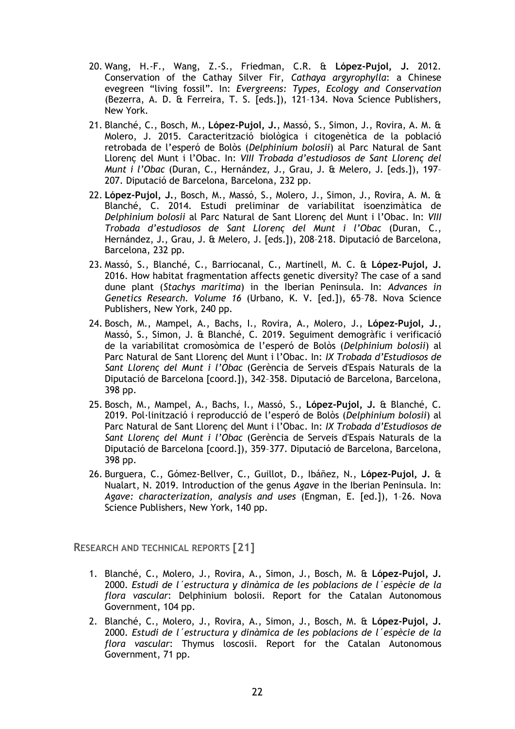- 20. Wang, H.-F., Wang, Z.-S., Friedman, C.R. & **López-Pujol, J.** 2012. Conservation of the Cathay Silver Fir, *Cathaya argyrophylla*: a Chinese evegreen "living fossil". In: *Evergreens: Types, Ecology and Conservation* (Bezerra, A. D. & Ferreira, T. S. [eds.]), 121–134. Nova Science Publishers, New York.
- 21. Blanché, C., Bosch, M., **López-Pujol, J.**, Massó, S., Simon, J., Rovira, A. M. & Molero, J. 2015. Caracterització biològica i citogenètica de la població retrobada de l'esperó de Bolòs (*Delphinium bolosii*) al Parc Natural de Sant Llorenç del Munt i l'Obac. In: *VIII Trobada d'estudiosos de Sant Llorenç del Munt i l'Obac* (Duran, C., Hernández, J., Grau, J. & Melero, J. [eds.]), 197– 207. Diputació de Barcelona, Barcelona, 232 pp.
- 22. **López-Pujol, J.**, Bosch, M., Massó, S., Molero, J., Simon, J., Rovira, A. M. & Blanché, C. 2014. Estudi preliminar de variabilitat isoenzimàtica de *Delphinium bolosii* al Parc Natural de Sant Llorenç del Munt i l'Obac. In: *VIII Trobada d'estudiosos de Sant Llorenç del Munt i l'Obac* (Duran, C., Hernández, J., Grau, J. & Melero, J. [eds.]), 208–218. Diputació de Barcelona, Barcelona, 232 pp.
- 23. Massó, S., Blanché, C., Barriocanal, C., Martinell, M. C. & **López-Pujol, J.** 2016. How habitat fragmentation affects genetic diversity? The case of a sand dune plant (*Stachys maritima*) in the Iberian Peninsula. In: *Advances in Genetics Research. Volume 16* (Urbano, K. V. [ed.]), 65–78. Nova Science Publishers, New York, 240 pp.
- 24. Bosch, M., Mampel, A., Bachs, I., Rovira, A., Molero, J., **López-Pujol, J.**, Massó, S., Simon, J. & Blanché, C. 2019. Seguiment demogràfic i verificació de la variabilitat cromosòmica de l'esperó de Bolòs (*Delphinium bolosii*) al Parc Natural de Sant Llorenç del Munt i l'Obac. In: *IX Trobada d'Estudiosos de Sant Llorenç del Munt i l'Obac* (Gerència de Serveis d'Espais Naturals de la Diputació de Barcelona [coord.]), 342–358. Diputació de Barcelona, Barcelona, 398 pp.
- 25. Bosch, M., Mampel, A., Bachs, I., Massó, S., **López-Pujol, J.** & Blanché, C. 2019. Pol·linització i reproducció de l'esperó de Bolòs (*Delphinium bolosii*) al Parc Natural de Sant Llorenç del Munt i l'Obac. In: *IX Trobada d'Estudiosos de Sant Llorenç del Munt i l'Obac* (Gerència de Serveis d'Espais Naturals de la Diputació de Barcelona [coord.]), 359–377. Diputació de Barcelona, Barcelona, 398 pp.
- 26. Burguera, C., Gómez-Bellver, C., Guillot, D., Ibáñez, N., **López-Pujol, J.** & Nualart, N. 2019. Introduction of the genus *Agave* in the Iberian Peninsula. In: *Agave: characterization, analysis and uses* (Engman, E. [ed.]), 1–26. Nova Science Publishers, New York, 140 pp.

**RESEARCH AND TECHNICAL REPORTS [21]**

- 1. Blanché, C., Molero, J., Rovira, A., Simon, J., Bosch, M. & **López-Pujol, J.** 2000. *Estudi de l´estructura y dinàmica de les poblacions de l´espècie de la flora vascular*: Delphinium bolosii. Report for the Catalan Autonomous Government, 104 pp.
- 2. Blanché, C., Molero, J., Rovira, A., Simon, J., Bosch, M. & **López-Pujol, J.**  2000. *Estudi de l´estructura y dinàmica de les poblacions de l´espècie de la flora vascular*: Thymus loscosii. Report for the Catalan Autonomous Government, 71 pp.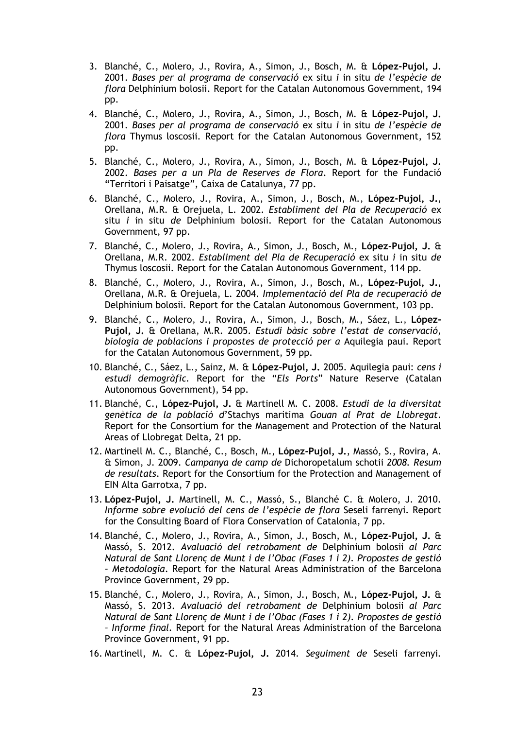- 3. Blanché, C., Molero, J., Rovira, A., Simon, J., Bosch, M. & **López-Pujol, J.** 2001. *Bases per al programa de conservació* ex situ *i* in situ *de l'espècie de flora* Delphinium bolosii. Report for the Catalan Autonomous Government, 194 pp.
- 4. Blanché, C., Molero, J., Rovira, A., Simon, J., Bosch, M. & **López-Pujol, J.** 2001. *Bases per al programa de conservació* ex situ *i* in situ *de l'espècie de flora* Thymus loscosii. Report for the Catalan Autonomous Government, 152 pp.
- 5. Blanché, C., Molero, J., Rovira, A., Simon, J., Bosch, M. & **López-Pujol, J.** 2002. *Bases per a un Pla de Reserves de Flora*. Report for the Fundació "Territori i Paisatge", Caixa de Catalunya, 77 pp.
- 6. Blanché, C., Molero, J., Rovira, A., Simon, J., Bosch, M., **López-Pujol, J.**, Orellana, M.R. & Orejuela, L. 2002. *Establiment del Pla de Recuperació* ex situ *i* in situ *de* Delphinium bolosii. Report for the Catalan Autonomous Government, 97 pp.
- 7. Blanché, C., Molero, J., Rovira, A., Simon, J., Bosch, M., **López-Pujol, J.** & Orellana, M.R. 2002. *Establiment del Pla de Recuperació* ex situ *i* in situ *de*  Thymus loscosii. Report for the Catalan Autonomous Government, 114 pp.
- 8. Blanché, C., Molero, J., Rovira, A., Simon, J., Bosch, M., **López-Pujol, J.**, Orellana, M.R. & Orejuela, L. 2004. *Implementació del Pla de recuperació de*  Delphinium bolosii*.* Report for the Catalan Autonomous Government, 103 pp.
- 9. Blanché, C., Molero, J., Rovira, A., Simon, J., Bosch, M., Sáez, L., **López-Pujol, J.** & Orellana, M.R. 2005. *Estudi bàsic sobre l'estat de conservació, biologia de poblacions i propostes de protecció per a* Aquilegia paui. Report for the Catalan Autonomous Government, 59 pp.
- 10. Blanché, C., Sáez, L., Sainz, M. & **López-Pujol, J.** 2005. Aquilegia paui: *cens i estudi demogràfic.* Report for the "*Els Ports*" Nature Reserve (Catalan Autonomous Government), 54 pp.
- 11. Blanché, C., **López-Pujol, J.** & Martinell M. C. 2008. *Estudi de la diversitat genètica de la població d*'Stachys maritima *Gouan al Prat de Llobregat*. Report for the Consortium for the Management and Protection of the Natural Areas of Llobregat Delta, 21 pp.
- 12. Martinell M. C., Blanché, C., Bosch, M., **López-Pujol, J.**, Massó, S., Rovira, A. & Simon, J. 2009. *Campanya de camp de* Dichoropetalum schotii *2008. Resum de resultats*. Report for the Consortium for the Protection and Management of EIN Alta Garrotxa, 7 pp.
- 13. **López-Pujol, J.** Martinell, M. C., Massó, S., Blanché C. & Molero, J. 2010. *Informe sobre evolució del cens de l'espècie de flora* Seseli farrenyi. Report for the Consulting Board of Flora Conservation of Catalonia, 7 pp.
- 14. Blanché, C., Molero, J., Rovira, A., Simon, J., Bosch, M., **López-Pujol, J.** & Massó, S. 2012. *Avaluació del retrobament de* Delphinium bolosii *al Parc Natural de Sant Llorenç de Munt i de l'Obac (Fases 1 i 2). Propostes de gestió – Metodologia*. Report for the Natural Areas Administration of the Barcelona Province Government, 29 pp.
- 15. Blanché, C., Molero, J., Rovira, A., Simon, J., Bosch, M., **López-Pujol, J.** & Massó, S. 2013. *Avaluació del retrobament de* Delphinium bolosii *al Parc Natural de Sant Llorenç de Munt i de l'Obac (Fases 1 i 2). Propostes de gestió – Informe final.* Report for the Natural Areas Administration of the Barcelona Province Government, 91 pp.
- 16. Martinell, M. C. & **López-Pujol, J.** 2014. *Seguiment de* Seseli farrenyi*.*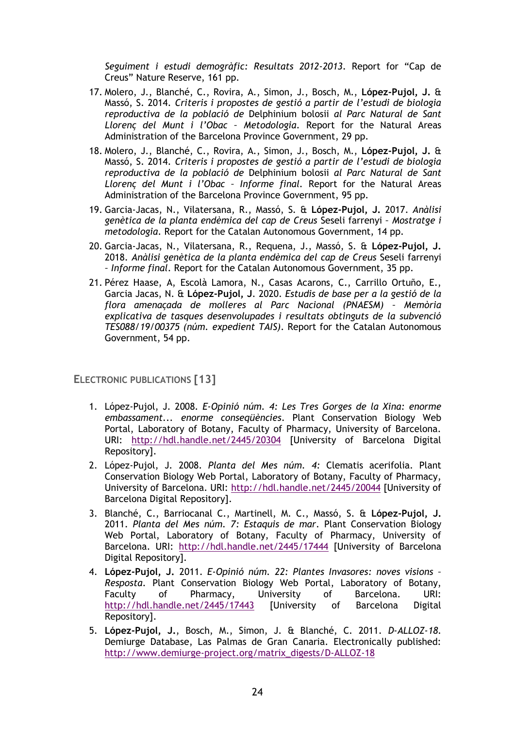*Seguiment i estudi demogràfic: Resultats 2012-2013*. Report for "Cap de Creus" Nature Reserve, 161 pp.

- 17. Molero, J., Blanché, C., Rovira, A., Simon, J., Bosch, M., **López-Pujol, J.** & Massó, S. 2014. *Criteris i propostes de gestió a partir de l'estudi de biologia reproductiva de la població de* Delphinium bolosii *al Parc Natural de Sant Llorenç del Munt i l'Obac – Metodologia*. Report for the Natural Areas Administration of the Barcelona Province Government, 29 pp.
- 18. Molero, J., Blanché, C., Rovira, A., Simon, J., Bosch, M., **López-Pujol, J.** & Massó, S. 2014. *Criteris i propostes de gestió a partir de l'estudi de biologia reproductiva de la població de* Delphinium bolosii *al Parc Natural de Sant Llorenç del Munt i l'Obac – Informe final.* Report for the Natural Areas Administration of the Barcelona Province Government, 95 pp.
- 19. Garcia-Jacas, N., Vilatersana, R., Massó, S. & **López-Pujol, J.** 2017. *Anàlisi genètica de la planta endèmica del cap de Creus* Seseli farrenyi *– Mostratge i metodologia*. Report for the Catalan Autonomous Government, 14 pp.
- 20. Garcia-Jacas, N., Vilatersana, R., Requena, J., Massó, S. & **López-Pujol, J.**  2018. *Anàlisi genètica de la planta endèmica del cap de Creus* Seseli farrenyi *– Informe final*. Report for the Catalan Autonomous Government, 35 pp.
- 21. Pérez Haase, A, Escolà Lamora, N., Casas Acarons, C., Carrillo Ortuño, E., Garcia Jacas, N. & **López-Pujol, J**. 2020. *Estudis de base per a la gestió de la flora amenaçada de molleres al Parc Nacional (PNAESM) – Memòria explicativa de tasques desenvolupades i resultats obtinguts de la subvenció TES088/19/00375 (núm. expedient TAIS)*. Report for the Catalan Autonomous Government, 54 pp.

**ELECTRONIC PUBLICATIONS [13]**

- 1. López-Pujol, J. 2008. *E-Opinió núm. 4: Les Tres Gorges de la Xina: enorme embassament... enorme conseqüències*. Plant Conservation Biology Web Portal, Laboratory of Botany, Faculty of Pharmacy, University of Barcelona. URI: <http://hdl.handle.net/2445/20304> [University of Barcelona Digital Repository].
- 2. López-Pujol, J. 2008. *Planta del Mes núm. 4:* Clematis acerifolia. Plant Conservation Biology Web Portal, Laboratory of Botany, Faculty of Pharmacy, University of Barcelona. URI:<http://hdl.handle.net/2445/20044> [University of Barcelona Digital Repository].
- 3. Blanché, C., Barriocanal C., Martinell, M. C., Massó, S. & **López-Pujol, J.**  2011. *Planta del Mes núm. 7: Estaquis de mar*. Plant Conservation Biology Web Portal, Laboratory of Botany, Faculty of Pharmacy, University of Barcelona. URI: <http://hdl.handle.net/2445/17444> [University of Barcelona Digital Repository].
- 4. **López-Pujol, J.** 2011. *E-Opinió núm. 22: Plantes Invasores: noves visions – Resposta*. Plant Conservation Biology Web Portal, Laboratory of Botany, Faculty of Pharmacy, University of Barcelona. URI: <http://hdl.handle.net/2445/17443> [University of Barcelona Digital Repository].
- 5. **López-Pujol, J.**, Bosch, M., Simon, J. & Blanché, C. 2011. *D-ALLOZ-18*. Demiurge Database, Las Palmas de Gran Canaria. Electronically published: [http://www.demiurge-project.org/matrix\\_digests/D-ALLOZ-18](http://www.demiurge-project.org/matrix_digests/D-ALLOZ-18)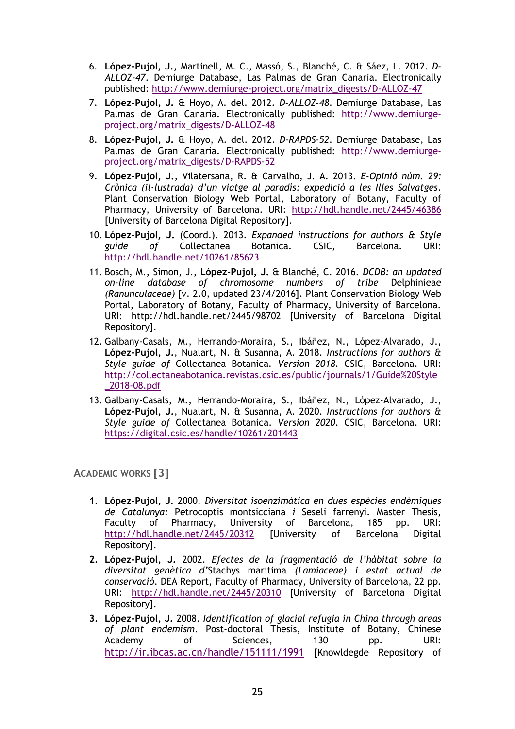- 6. **López-Pujol, J.,** Martinell, M. C., Massó, S., Blanché, C. & Sáez, L. 2012. *D-ALLOZ-47*. Demiurge Database, Las Palmas de Gran Canaria. Electronically published: [http://www.demiurge-project.org/matrix\\_digests/D-ALLOZ-47](http://www.demiurge-project.org/matrix_digests/D-ALLOZ-47)
- 7. **López-Pujol, J.** & Hoyo, A. del. 2012. *D-ALLOZ-48*. Demiurge Database, Las Palmas de Gran Canaria. Electronically published: [http://www.demiurge](http://www.demiurge-project.org/matrix_digests/D-ALLOZ-48)[project.org/matrix\\_digests/D-ALLOZ-48](http://www.demiurge-project.org/matrix_digests/D-ALLOZ-48)
- 8. **López-Pujol, J.** & Hoyo, A. del. 2012. *D-RAPDS-52*. Demiurge Database, Las Palmas de Gran Canaria. Electronically published: [http://www.demiurge](http://www.demiurge-project.org/matrix_digests/D-RAPDS-52)[project.org/matrix\\_digests/D-RAPDS-52](http://www.demiurge-project.org/matrix_digests/D-RAPDS-52)
- 9. **López-Pujol, J.**, Vilatersana, R. & Carvalho, J. A. 2013. *E-Opinió núm. 29: Crònica (il·lustrada) d'un viatge al paradís: expedició a les Illes Salvatges*. Plant Conservation Biology Web Portal, Laboratory of Botany, Faculty of Pharmacy, University of Barcelona. URI: http://hdl.handle.net/2445/46386 [University of Barcelona Digital Repository].
- 10. **López-Pujol, J.** (Coord.). 2013. *Expanded instructions for authors & Style guide of* Collectanea Botanica. CSIC, Barcelona. URI: <http://hdl.handle.net/10261/85623>
- 11. Bosch, M., Simon, J., **López-Pujol, J.** & Blanché, C. 2016. *DCDB: an updated on-line database of chromosome numbers of tribe* Delphinieae *(Ranunculaceae)* [v. 2.0, updated 23/4/2016]. Plant Conservation Biology Web Portal, Laboratory of Botany, Faculty of Pharmacy, University of Barcelona. URI: <http://hdl.handle.net/2445/98702> [University of Barcelona Digital Repository].
- 12. Galbany-Casals, M., Herrando-Moraira, S., Ibáñez, N., López-Alvarado, J., **López-Pujol, J.**, Nualart, N. & Susanna, A. 2018. *Instructions for authors & Style guide of* Collectanea Botanica*. Version 2018*. CSIC, Barcelona. URI: [http://collectaneabotanica.revistas.csic.es/public/journals/1/Guide%20Style](http://collectaneabotanica.revistas.csic.es/public/journals/1/Guide%20Style_2018-08.pdf) [\\_2018-08.pdf](http://collectaneabotanica.revistas.csic.es/public/journals/1/Guide%20Style_2018-08.pdf)
- 13. Galbany-Casals, M., Herrando-Moraira, S., Ibáñez, N., López-Alvarado, J., **López-Pujol, J.**, Nualart, N. & Susanna, A. 2020. *Instructions for authors & Style guide of* Collectanea Botanica. *Version 2020*. CSIC, Barcelona. URI: https://digital.csic.es/handle/10261/201443

**ACADEMIC WORKS [3]**

- **1. López-Pujol, J.** 2000. *Diversitat isoenzimàtica en dues espècies endèmiques de Catalunya:* Petrocoptis montsicciana *i* Seseli farrenyi. Master Thesis, Faculty of Pharmacy, University of Barcelona, 185 pp. URI: <http://hdl.handle.net/2445/20312> [University of Barcelona Digital Repository].
- **2. López-Pujol, J.** 2002. *Efectes de la fragmentació de l'hàbitat sobre la diversitat genètica d'*Stachys maritima *(Lamiaceae) i estat actual de conservació*. DEA Report, Faculty of Pharmacy, University of Barcelona, 22 pp. URI: <http://hdl.handle.net/2445/20310> [University of Barcelona Digital Repository].
- **3. López-Pujol, J.** 2008. *Identification of glacial refugia in China through areas of plant endemism*. Post-doctoral Thesis, Institute of Botany, Chinese Academy of Sciences, 130 pp. URI: <http://ir.ibcas.ac.cn/handle/151111/1991> [Knowldegde Repository of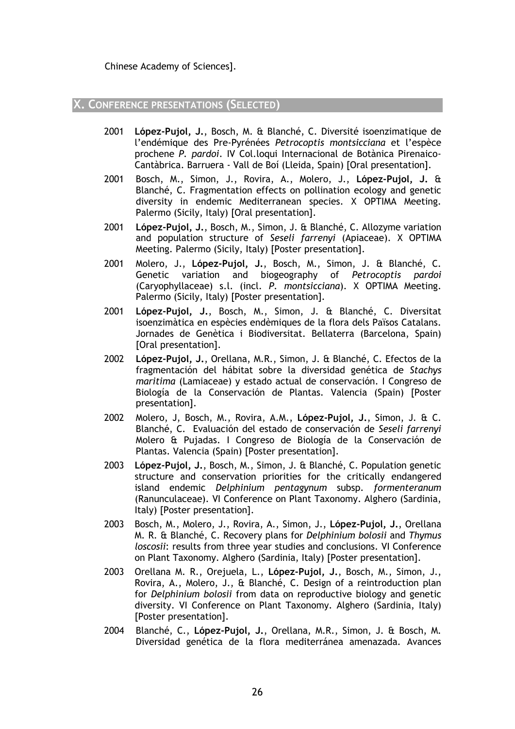#### **X. CONFERENCE PRESENTATIONS (SELECTED)**

- 2001 **López-Pujol, J.**, Bosch, M. & Blanché, C. Diversité isoenzimatique de l'endémique des Pre-Pyrénées *Petrocoptis montsicciana* et l'espèce prochene *P. pardoi*. IV Col.loqui Internacional de Botànica Pirenaico-Cantàbrica. Barruera - Vall de Boí (Lleida, Spain) [Oral presentation].
- 2001 Bosch, M., Simon, J., Rovira, A., Molero, J., **López-Pujol, J.** & Blanché, C. Fragmentation effects on pollination ecology and genetic diversity in endemic Mediterranean species. X OPTIMA Meeting. Palermo (Sicily, Italy) [Oral presentation].
- 2001 **López-Pujol, J.**, Bosch, M., Simon, J. & Blanché, C. Allozyme variation and population structure of *Seseli farrenyi* (Apiaceae). X OPTIMA Meeting. Palermo (Sicily, Italy) [Poster presentation].
- 2001 Molero, J., **López-Pujol, J.**, Bosch, M., Simon, J. & Blanché, C. Genetic variation and biogeography of *Petrocoptis pardoi* (Caryophyllaceae) s.l. (incl. *P. montsicciana*). X OPTIMA Meeting. Palermo (Sicily, Italy) [Poster presentation].
- 2001 **López-Pujol, J.**, Bosch, M., Simon, J. & Blanché, C. Diversitat isoenzimàtica en espècies endèmiques de la flora dels Països Catalans. Jornades de Genètica i Biodiversitat. Bellaterra (Barcelona, Spain) [Oral presentation].
- 2002 **López-Pujol, J.**, Orellana, M.R., Simon, J. & Blanché, C. Efectos de la fragmentación del hábitat sobre la diversidad genética de *Stachys maritima* (Lamiaceae) y estado actual de conservación. I Congreso de Biología de la Conservación de Plantas. Valencia (Spain) [Poster presentation].
- 2002 Molero, J, Bosch, M., Rovira, A.M., **López-Pujol, J.**, Simon, J. & C. Blanché, C. Evaluación del estado de conservación de *Seseli farrenyi* Molero & Pujadas. I Congreso de Biología de la Conservación de Plantas. Valencia (Spain) [Poster presentation].
- 2003 **López-Pujol, J.**, Bosch, M., Simon, J. & Blanché, C. Population genetic structure and conservation priorities for the critically endangered island endemic *Delphinium pentagynum* subsp. *formenteranum* (Ranunculaceae). VI Conference on Plant Taxonomy. Alghero (Sardinia, Italy) [Poster presentation].
- 2003 Bosch, M., Molero, J., Rovira, A., Simon, J., **López-Pujol, J.**, Orellana M. R. & Blanché, C. Recovery plans for *Delphinium bolosii* and *Thymus loscosii*: results from three year studies and conclusions. VI Conference on Plant Taxonomy. Alghero (Sardinia, Italy) [Poster presentation].
- 2003 Orellana M. R., Orejuela, L., **López-Pujol, J.**, Bosch, M., Simon, J., Rovira, A., Molero, J., & Blanché, C. Design of a reintroduction plan for *Delphinium bolosii* from data on reproductive biology and genetic diversity. VI Conference on Plant Taxonomy. Alghero (Sardinia, Italy) [Poster presentation].
- 2004 Blanché, C., **López-Pujol, J.**, Orellana, M.R., Simon, J. & Bosch, M. Diversidad genética de la flora mediterránea amenazada. Avances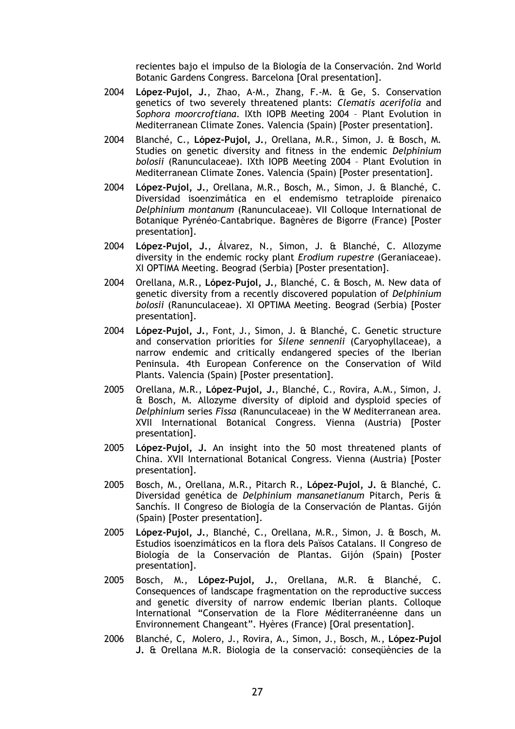recientes bajo el impulso de la Biología de la Conservación. 2nd World Botanic Gardens Congress. Barcelona [Oral presentation].

- 2004 **López-Pujol, J.**, Zhao, A-M., Zhang, F.-M. & Ge, S. Conservation genetics of two severely threatened plants: *Clematis acerifolia* and *Sophora moorcroftiana*. IXth IOPB Meeting 2004 – Plant Evolution in Mediterranean Climate Zones. Valencia (Spain) [Poster presentation].
- 2004 Blanché, C., **López-Pujol, J.**, Orellana, M.R., Simon, J. & Bosch, M. Studies on genetic diversity and fitness in the endemic *Delphinium bolosii* (Ranunculaceae). IXth IOPB Meeting 2004 – Plant Evolution in Mediterranean Climate Zones. Valencia (Spain) [Poster presentation].
- 2004 **López-Pujol, J.**, Orellana, M.R., Bosch, M., Simon, J. & Blanché, C. Diversidad isoenzimática en el endemismo tetraploide pirenaico *Delphinium montanum* (Ranunculaceae). VII Colloque International de Botanique Pyrénéo-Cantabrique. Bagnères de Bigorre (France) [Poster presentation].
- 2004 **López-Pujol, J.**, Álvarez, N., Simon, J. & Blanché, C. Allozyme diversity in the endemic rocky plant *Erodium rupestre* (Geraniaceae). XI OPTIMA Meeting. Beograd (Serbia) [Poster presentation].
- 2004 Orellana, M.R., **López-Pujol, J.**, Blanché, C. & Bosch, M. New data of genetic diversity from a recently discovered population of *Delphinium bolosii* (Ranunculaceae). XI OPTIMA Meeting. Beograd (Serbia) [Poster presentation].
- 2004 **López-Pujol, J.**, Font, J., Simon, J. & Blanché, C. Genetic structure and conservation priorities for *Silene sennenii* (Caryophyllaceae), a narrow endemic and critically endangered species of the Iberian Peninsula. 4th European Conference on the Conservation of Wild Plants. Valencia (Spain) [Poster presentation].
- 2005 Orellana, M.R., **López-Pujol, J.**, Blanché, C., Rovira, A.M., Simon, J. & Bosch, M. Allozyme diversity of diploid and dysploid species of *Delphinium* series *Fissa* (Ranunculaceae) in the W Mediterranean area. XVII International Botanical Congress. Vienna (Austria) [Poster presentation].
- 2005 **López-Pujol, J.** An insight into the 50 most threatened plants of China. XVII International Botanical Congress. Vienna (Austria) [Poster presentation].
- 2005 Bosch, M., Orellana, M.R., Pitarch R., **López-Pujol, J.** & Blanché, C. Diversidad genética de *Delphinium mansanetianum* Pitarch, Peris & Sanchís. II Congreso de Biología de la Conservación de Plantas. Gijón (Spain) [Poster presentation].
- 2005 **López-Pujol, J.**, Blanché, C., Orellana, M.R., Simon, J. & Bosch, M. Estudios isoenzimáticos en la flora dels Països Catalans. II Congreso de Biología de la Conservación de Plantas. Gijón (Spain) [Poster presentation].
- 2005 Bosch, M., **López-Pujol, J.**, Orellana, M.R. & Blanché, C. Consequences of landscape fragmentation on the reproductive success and genetic diversity of narrow endemic Iberian plants. Colloque International "Conservation de la Flore Méditerranéenne dans un Environnement Changeant". Hyères (France) [Oral presentation].
- 2006 Blanché, C, Molero, J., Rovira, A., Simon, J., Bosch, M., **López-Pujol J.** & Orellana M.R. Biologia de la conservació: conseqüències de la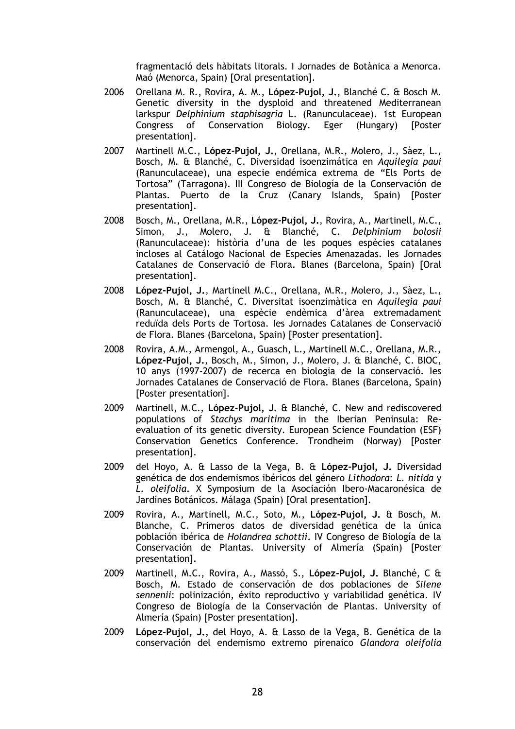fragmentació dels hàbitats litorals. I Jornades de Botànica a Menorca. Maó (Menorca, Spain) [Oral presentation].

- 2006 Orellana M. R., Rovira, A. M., **López-Pujol, J.**, Blanché C. & Bosch M. Genetic diversity in the dysploid and threatened Mediterranean larkspur *Delphinium staphisagria* L. (Ranunculaceae). 1st European Congress of Conservation Biology. Eger (Hungary) [Poster presentation].
- 2007 Martinell M.C., **López-Pujol, J.**, Orellana, M.R., Molero, J., Sàez, L., Bosch, M. & Blanché, C. Diversidad isoenzimática en *Aquilegia paui* (Ranunculaceae), una especie endémica extrema de "Els Ports de Tortosa" (Tarragona). III Congreso de Biología de la Conservación de Plantas. Puerto de la Cruz (Canary Islands, Spain) [Poster presentation].
- 2008 Bosch, M., Orellana, M.R., **López-Pujol, J.**, Rovira, A., Martinell, M.C., Simon, J., Molero, J. & Blanché, C. *Delphinium bolosii* (Ranunculaceae): història d'una de les poques espècies catalanes incloses al Catálogo Nacional de Especies Amenazadas. Ies Jornades Catalanes de Conservació de Flora. Blanes (Barcelona, Spain) [Oral presentation].
- 2008 **López-Pujol, J.**, Martinell M.C., Orellana, M.R., Molero, J., Sàez, L., Bosch, M. & Blanché, C. Diversitat isoenzimàtica en *Aquilegia paui* (Ranunculaceae), una espècie endèmica d'àrea extremadament reduïda dels Ports de Tortosa. Ies Jornades Catalanes de Conservació de Flora. Blanes (Barcelona, Spain) [Poster presentation].
- 2008 Rovira, A.M., Armengol, A., Guasch, L., Martinell M.C., Orellana, M.R., **López-Pujol, J.**, Bosch, M., Simon, J., Molero, J. & Blanché, C. BIOC, 10 anys (1997-2007) de recerca en biologia de la conservació. Ies Jornades Catalanes de Conservació de Flora. Blanes (Barcelona, Spain) [Poster presentation].
- 2009 Martinell, M.C., **López-Pujol, J.** & Blanché, C. New and rediscovered populations of *Stachys maritima* in the Iberian Peninsula: Reevaluation of its genetic diversity. European Science Foundation (ESF) Conservation Genetics Conference. Trondheim (Norway) [Poster presentation].
- 2009 del Hoyo, A. & Lasso de la Vega, B. & **López-Pujol, J.** Diversidad genética de dos endemismos ibéricos del género *Lithodora*: *L. nitida* y *L. oleifolia*. X Symposium de la Asociación Ibero-Macaronésica de Jardines Botánicos. Málaga (Spain) [Oral presentation].
- 2009 Rovira, A., Martinell, M.C., Soto, M., **López-Pujol, J.** & Bosch, M. Blanche, C. Primeros datos de diversidad genética de la única población ibérica de *Holandrea schottii*. IV Congreso de Biología de la Conservación de Plantas. University of Almería (Spain) [Poster presentation].
- 2009 Martinell, M.C., Rovira, A., Massó, S., **López-Pujol, J.** Blanché, C & Bosch, M. Estado de conservación de dos poblaciones de *Silene sennenii*: polinización, éxito reproductivo y variabilidad genética. IV Congreso de Biología de la Conservación de Plantas. University of Almería (Spain) [Poster presentation].
- 2009 **López-Pujol, J.**, del Hoyo, A. & Lasso de la Vega, B. Genética de la conservación del endemismo extremo pirenaico *Glandora oleifolia*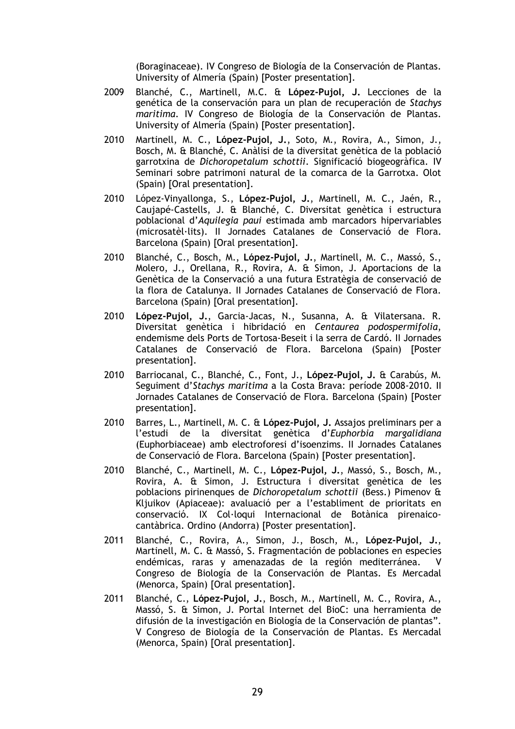(Boraginaceae). IV Congreso de Biología de la Conservación de Plantas. University of Almería (Spain) [Poster presentation].

- 2009 Blanché, C., Martinell, M.C. & **López-Pujol, J.** Lecciones de la genética de la conservación para un plan de recuperación de *Stachys maritima*. IV Congreso de Biología de la Conservación de Plantas. University of Almería (Spain) [Poster presentation].
- 2010 Martinell, M. C., **López-Pujol, J.**, Soto, M., Rovira, A., Simon, J., Bosch, M. & Blanché, C. Anàlisi de la diversitat genètica de la població garrotxina de *Dichoropetalum schottii*. Significació biogeogràfica. IV Seminari sobre patrimoni natural de la comarca de la Garrotxa. Olot (Spain) [Oral presentation].
- 2010 López-Vinyallonga, S., **López-Pujol, J.**, Martinell, M. C., Jaén, R., Caujapé-Castells, J. & Blanché, C. Diversitat genètica i estructura poblacional d'*Aquilegia paui* estimada amb marcadors hipervariables (microsatèl·lits). II Jornades Catalanes de Conservació de Flora. Barcelona (Spain) [Oral presentation].
- 2010 Blanché, C., Bosch, M., **López-Pujol, J.**, Martinell, M. C., Massó, S., Molero, J., Orellana, R., Rovira, A. & Simon, J. Aportacions de la Genètica de la Conservació a una futura Estratègia de conservació de la flora de Catalunya. II Jornades Catalanes de Conservació de Flora. Barcelona (Spain) [Oral presentation].
- 2010 **López-Pujol, J.**, Garcia-Jacas, N., Susanna, A. & Vilatersana. R. Diversitat genètica i hibridació en *Centaurea podospermifolia*, endemisme dels Ports de Tortosa-Beseit i la serra de Cardó. II Jornades Catalanes de Conservació de Flora. Barcelona (Spain) [Poster presentation].
- 2010 Barriocanal, C., Blanché, C., Font, J., **López-Pujol, J.** & Carabús, M. Seguiment d'*Stachys maritima* a la Costa Brava: període 2008-2010. II Jornades Catalanes de Conservació de Flora. Barcelona (Spain) [Poster presentation].
- 2010 Barres, L., Martinell, M. C. & **López-Pujol, J.** Assajos preliminars per a l'estudi de la diversitat genètica d'*Euphorbia margalidiana* (Euphorbiaceae) amb electroforesi d'isoenzims. II Jornades Catalanes de Conservació de Flora. Barcelona (Spain) [Poster presentation].
- 2010 Blanché, C., Martinell, M. C., **López-Pujol, J.**, Massó, S., Bosch, M., Rovira, A. & Simon, J. Estructura i diversitat genètica de les poblacions pirinenques de *Dichoropetalum schottii* (Bess.) Pimenov & Kljuikov (Apiaceae): avaluació per a l'establiment de prioritats en conservació. IX Col·loqui Internacional de Botànica pirenaicocantàbrica. Ordino (Andorra) [Poster presentation].
- 2011 Blanché, C., Rovira, A., Simon, J., Bosch, M., **López-Pujol, J.**, Martinell, M. C. & Massó, S. Fragmentación de poblaciones en especies endémicas, raras y amenazadas de la región mediterránea. V Congreso de Biología de la Conservación de Plantas. Es Mercadal (Menorca, Spain) [Oral presentation].
- 2011 Blanché, C., **López-Pujol, J.**, Bosch, M., Martinell, M. C., Rovira, A., Massó, S. & Simon, J. Portal Internet del BioC: una herramienta de difusión de la investigación en Biología de la Conservación de plantas". V Congreso de Biología de la Conservación de Plantas. Es Mercadal (Menorca, Spain) [Oral presentation].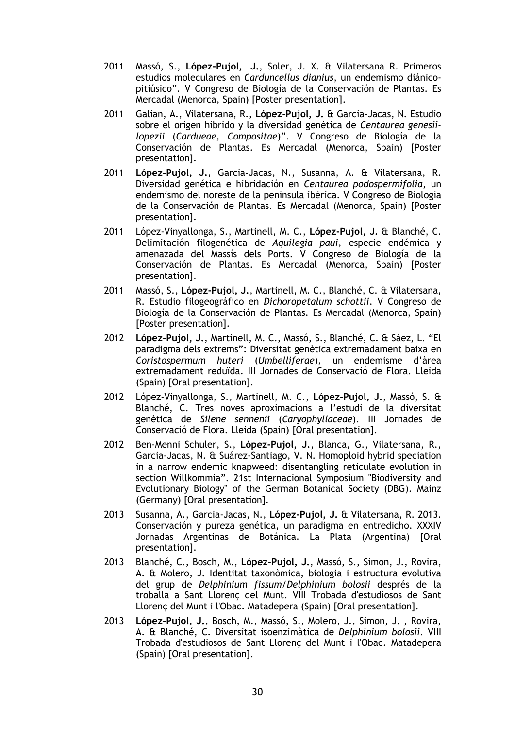- 2011 Massó, S., **López-Pujol, J.**, Soler, J. X. & Vilatersana R. Primeros estudios moleculares en *Carduncellus dianius*, un endemismo diánicopitiúsico". V Congreso de Biología de la Conservación de Plantas. Es Mercadal (Menorca, Spain) [Poster presentation].
- 2011 Galian, A., Vilatersana, R., **López-Pujol, J.** & Garcia-Jacas, N. Estudio sobre el origen híbrido y la diversidad genética de *Centaurea genesiilopezii* (*Cardueae, Compositae*)". V Congreso de Biología de la Conservación de Plantas. Es Mercadal (Menorca, Spain) [Poster presentation].
- 2011 **López-Pujol, J.**, Garcia-Jacas, N., Susanna, A. & Vilatersana, R. Diversidad genética e hibridación en *Centaurea podospermifolia*, un endemismo del noreste de la península ibérica. V Congreso de Biología de la Conservación de Plantas. Es Mercadal (Menorca, Spain) [Poster presentation].
- 2011 López-Vinyallonga, S., Martinell, M. C., **López-Pujol, J.** & Blanché, C. Delimitación filogenética de *Aquilegia paui*, especie endémica y amenazada del Massís dels Ports. V Congreso de Biología de la Conservación de Plantas. Es Mercadal (Menorca, Spain) [Poster presentation].
- 2011 Massó, S., **López-Pujol, J.**, Martinell, M. C., Blanché, C. & Vilatersana, R. Estudio filogeográfico en *Dichoropetalum schottii*. V Congreso de Biología de la Conservación de Plantas. Es Mercadal (Menorca, Spain) [Poster presentation].
- 2012 **López-Pujol, J.**, Martinell, M. C., Massó, S., Blanché, C. & Sáez, L. "El paradigma dels extrems": Diversitat genètica extremadament baixa en *Coristospermum huteri* (*Umbelliferae*), un endemisme d'àrea extremadament reduïda. III Jornades de Conservació de Flora. Lleida (Spain) [Oral presentation].
- 2012 López-Vinyallonga, S., Martinell, M. C., **López-Pujol, J.**, Massó, S. & Blanché, C. Tres noves aproximacions a l'estudi de la diversitat genètica de *Silene sennenii* (*Caryophyllaceae*). III Jornades de Conservació de Flora. Lleida (Spain) [Oral presentation].
- 2012 Ben-Menni Schuler, S., **López-Pujol, J.**, Blanca, G., Vilatersana, R., Garcia-Jacas, N. & Suárez-Santiago, V. N. Homoploid hybrid speciation in a narrow endemic knapweed: disentangling reticulate evolution in section Willkommia". 21st Internacional Symposium "Biodiversity and Evolutionary Biology" of the German Botanical Society (DBG). Mainz (Germany) [Oral presentation].
- 2013 Susanna, A., Garcia-Jacas, N., **López-Pujol, J.** & Vilatersana, R. 2013. Conservación y pureza genética, un paradigma en entredicho. XXXIV Jornadas Argentinas de Botánica. La Plata (Argentina) [Oral presentation].
- 2013 Blanché, C., Bosch, M., **López-Pujol, J.**, Massó, S., Simon, J., Rovira, A. & Molero, J. Identitat taxonòmica, biologia i estructura evolutiva del grup de *Delphinium fissum*/*Delphinium bolosii* després de la troballa a Sant Llorenç del Munt. VIII Trobada d'estudiosos de Sant Llorenç del Munt i l'Obac. Matadepera (Spain) [Oral presentation].
- 2013 **López-Pujol, J.**, Bosch, M., Massó, S., Molero, J., Simon, J. , Rovira, A. & Blanché, C. Diversitat isoenzimàtica de *Delphinium bolosii*. VIII Trobada d'estudiosos de Sant Llorenç del Munt i l'Obac. Matadepera (Spain) [Oral presentation].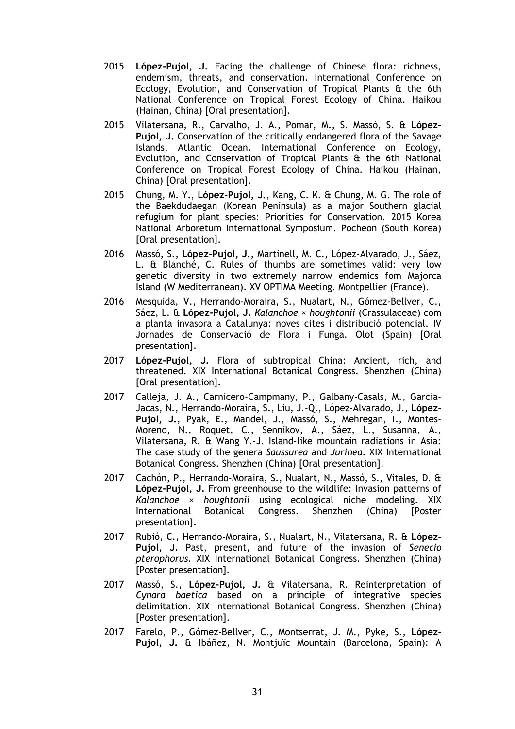- 2015 **López-Pujol, J.** Facing the challenge of Chinese flora: richness, endemism, threats, and conservation. International Conference on Ecology, Evolution, and Conservation of Tropical Plants & the 6th National Conference on Tropical Forest Ecology of China. Haikou (Hainan, China) [Oral presentation].
- 2015 Vilatersana, R., Carvalho, J. A., Pomar, M., S. Massó, S. & **López-Pujol, J.** Conservation of the critically endangered flora of the Savage Islands, Atlantic Ocean. International Conference on Ecology, Evolution, and Conservation of Tropical Plants & the 6th National Conference on Tropical Forest Ecology of China. Haikou (Hainan, China) [Oral presentation].
- 2015 Chung, M. Y., **López-Pujol, J.**, Kang, C. K. & Chung, M. G. The role of the Baekdudaegan (Korean Peninsula) as a major Southern glacial refugium for plant species: Priorities for Conservation. 2015 Korea National Arboretum International Symposium. Pocheon (South Korea) [Oral presentation].
- 2016 Massó, S., **López-Pujol, J.**, Martinell, M. C., López-Alvarado, J., Sáez, L. & Blanché, C. Rules of thumbs are sometimes valid: very low genetic diversity in two extremely narrow endemics fom Majorca Island (W Mediterranean). XV OPTIMA Meeting. Montpellier (France).
- 2016 Mesquida, V., Herrando-Moraira, S., Nualart, N., Gómez-Bellver, C., Sáez, L. & **López-Pujol, J.** *Kalanchoe × houghtonii* (Crassulaceae) com a planta invasora a Catalunya: noves cites i distribució potencial. IV Jornades de Conservació de Flora i Funga. Olot (Spain) [Oral presentation].
- 2017 **López-Pujol, J.** Flora of subtropical China: Ancient, rich, and threatened. XIX International Botanical Congress. Shenzhen (China) [Oral presentation].
- 2017 Calleja, J. A., Carnicero-Campmany, P., Galbany-Casals, M., Garcia-Jacas, N., Herrando-Moraira, S., Liu, J.-Q., López-Alvarado, J., **López-Pujol, J.**, Pyak, E., Mandel, J., Massó, S., Mehregan, I., Montes-Moreno, N., Roquet, C., Sennikov, A., Sáez, L., Susanna, A., Vilatersana, R. & Wang Y.-J. Island-like mountain radiations in Asia: The case study of the genera *Saussurea* and *Jurinea*. XIX International Botanical Congress. Shenzhen (China) [Oral presentation].
- 2017 Cachón, P., Herrando-Moraira, S., Nualart, N., Massó, S., Vitales, D. & **López-Pujol, J.** From greenhouse to the wildlife: Invasion patterns of *Kalanchoe* × *houghtonii* using ecological niche modeling. XIX International Botanical Congress. Shenzhen (China) [Poster presentation].
- 2017 Rubió, C., Herrando-Moraira, S., Nualart, N., Vilatersana, R. & **López-Pujol, J.** Past, present, and future of the invasion of *Senecio pterophorus*. XIX International Botanical Congress. Shenzhen (China) [Poster presentation].
- 2017 Massó, S., **López-Pujol, J.** & Vilatersana, R. Reinterpretation of *Cynara baetica* based on a principle of integrative species delimitation. XIX International Botanical Congress. Shenzhen (China) [Poster presentation].
- 2017 Farelo, P., Gómez-Bellver, C., Montserrat, J. M., Pyke, S., **López-Pujol, J.** & Ibáñez, N. Montjuïc Mountain (Barcelona, Spain): A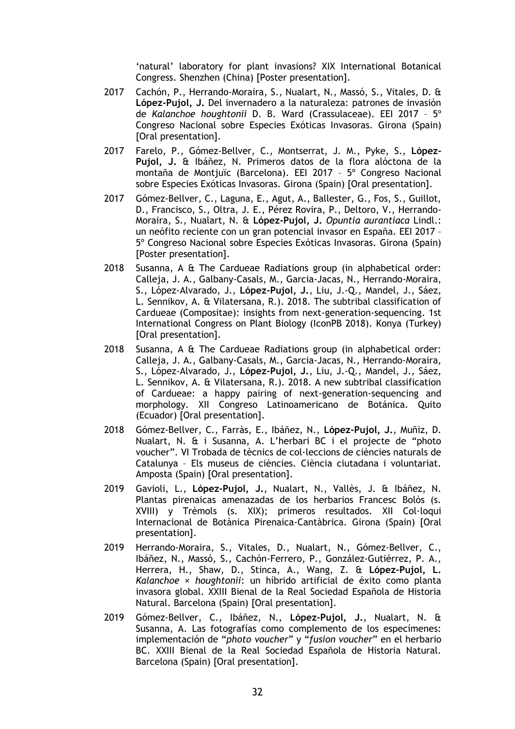'natural' laboratory for plant invasions? XIX International Botanical Congress. Shenzhen (China) [Poster presentation].

- 2017 Cachón, P., Herrando-Moraira, S., Nualart, N., Massó, S., Vitales, D. & **López-Pujol, J.** Del invernadero a la naturaleza: patrones de invasión de *Kalanchoe houghtonii* D. B. Ward (Crassulaceae). EEI 2017 – 5º Congreso Nacional sobre Especies Exóticas Invasoras. Girona (Spain) [Oral presentation].
- 2017 Farelo, P., Gómez-Bellver, C., Montserrat, J. M., Pyke, S., **López-Pujol, J.** & Ibáñez, N. Primeros datos de la flora alóctona de la montaña de Montjuïc (Barcelona). EEI 2017 – 5º Congreso Nacional sobre Especies Exóticas Invasoras. Girona (Spain) [Oral presentation].
- 2017 Gómez-Bellver, C., Laguna, E., Agut, A., Ballester, G., Fos, S., Guillot, D., Francisco, S., Oltra, J. E., Pérez Rovira, P., Deltoro, V., Herrando-Moraira, S., Nualart, N. & **López-Pujol, J.** *Opuntia aurantiaca* Lindl.: un neófito reciente con un gran potencial invasor en España. EEI 2017 – 5º Congreso Nacional sobre Especies Exóticas Invasoras. Girona (Spain) [Poster presentation].
- 2018 Susanna, A & The Cardueae Radiations group (in alphabetical order: Calleja, J. A., Galbany-Casals, M., Garcia-Jacas, N., Herrando-Moraira, S., López-Alvarado, J., **López-Pujol, J.**, Liu, J.-Q., Mandel, J., Sáez, L. Sennikov, A. & Vilatersana, R.). 2018. The subtribal classification of Cardueae (Compositae): insights from next-generation-sequencing. 1st International Congress on Plant Biology (IconPB 2018). Konya (Turkey) [Oral presentation].
- 2018 Susanna, A & The Cardueae Radiations group (in alphabetical order: Calleja, J. A., Galbany-Casals, M., Garcia-Jacas, N., Herrando-Moraira, S., López-Alvarado, J., **López-Pujol, J.**, Liu, J.-Q., Mandel, J., Sáez, L. Sennikov, A. & Vilatersana, R.). 2018. A new subtribal classification of Cardueae: a happy pairing of next-generation-sequencing and morphology. XII Congreso Latinoamericano de Botánica. Quito (Ecuador) [Oral presentation].
- 2018 Gómez-Bellver, C., Farràs, E., Ibáñez, N., **López-Pujol, J.**, Muñiz, D. Nualart, N. & i Susanna, A. L'herbari BC i el projecte de "photo voucher". VI Trobada de tècnics de col·leccions de ciències naturals de Catalunya – Els museus de ciències. Ciència ciutadana i voluntariat. Amposta (Spain) [Oral presentation].
- 2019 Gavioli, L., **López-Pujol, J.**, Nualart, N., Vallès, J. & Ibáñez, N. Plantas pirenaicas amenazadas de los herbarios Francesc Bolòs (s. XVIII) y Trèmols (s. XIX); primeros resultados. XII Col·loqui Internacional de Botànica Pirenaica-Cantàbrica. Girona (Spain) [Oral presentation].
- 2019 Herrando-Moraira, S., Vitales, D., Nualart, N., Gómez-Bellver, C., Ibáñez, N., Massó, S., Cachón-Ferrero, P., González-Gutiérrez, P. A., Herrera, H., Shaw, D., Stinca, A., Wang, Z. & **López-Pujol, L.** *Kalanchoe* × *houghtonii*: un híbrido artificial de éxito como planta invasora global. XXIII Bienal de la Real Sociedad Española de Historia Natural. Barcelona (Spain) [Oral presentation].
- 2019 Gómez-Bellver, C., Ibáñez, N., **López-Pujol, J.**, Nualart, N. & Susanna, A. Las fotografías como complemento de los especímenes: implementación de "*photo voucher*" y "*fusion voucher*" en el herbario BC. XXIII Bienal de la Real Sociedad Española de Historia Natural. Barcelona (Spain) [Oral presentation].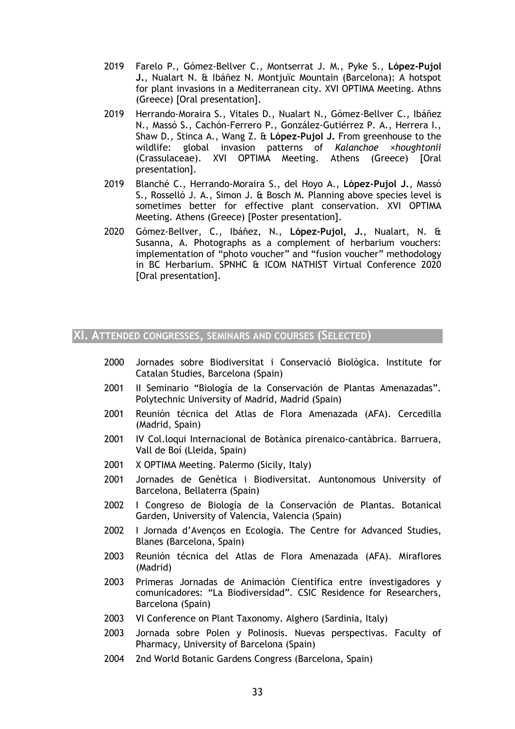- 2019 Farelo P., Gómez-Bellver C., Montserrat J. M., Pyke S., **López-Pujol J.**, Nualart N. & Ibáñez N. Montjuïc Mountain (Barcelona): A hotspot for plant invasions in a Mediterranean city. XVI OPTIMA Meeting. Athns (Greece) [Oral presentation].
- 2019 Herrando-Moraira S., Vitales D., Nualart N., Gómez-Bellver C., Ibáñez N., Massó S., Cachón-Ferrero P., González-Gutiérrez P. A., Herrera I., Shaw D., Stinca A., Wang Z. & **López-Pujol J.** From greenhouse to the wildlife: global invasion patterns of *Kalanchoe* ×*houghtonii*  (Crassulaceae). XVI OPTIMA Meeting. Athens (Greece) [Oral presentation].
- 2019 Blanché C., Herrando-Moraira S., del Hoyo A., **López-Pujol J.**, Massó S., Rosselló J. A., Simon J. & Bosch M. Planning above species level is sometimes better for effective plant conservation. XVI OPTIMA Meeting. Athens (Greece) [Poster presentation].
- 2020 Gómez-Bellver, C., Ibáñez, N., **López-Pujol, J.**, Nualart, N. & Susanna, A. Photographs as a complement of herbarium vouchers: implementation of "photo voucher" and "fusion voucher" methodology in BC Herbarium. SPNHC & ICOM NATHIST Virtual Conference 2020 [Oral presentation].

# **XI. ATTENDED CONGRESSES, SEMINARS AND COURSES (SELECTED)**

- 2000 Jornades sobre Biodiversitat i Conservació Biològica. Institute for Catalan Studies, Barcelona (Spain)
- 2001 II Seminario "Biología de la Conservación de Plantas Amenazadas". Polytechnic University of Madrid, Madrid (Spain)
- 2001 Reunión técnica del Atlas de Flora Amenazada (AFA). Cercedilla (Madrid, Spain)
- 2001 IV Col.loqui Internacional de Botànica pirenaico-cantàbrica. Barruera, Vall de Boí (Lleida, Spain)
- 2001 X OPTIMA Meeting. Palermo (Sicily, Italy)
- 2001 Jornades de Genètica i Biodiversitat. Auntonomous University of Barcelona, Bellaterra (Spain)
- 2002 I Congreso de Biología de la Conservación de Plantas. Botanical Garden, University of Valencia, Valencia (Spain)
- 2002 I Jornada d'Avenços en Ecologia. The Centre for Advanced Studies, Blanes (Barcelona, Spain)
- 2003 Reunión técnica del Atlas de Flora Amenazada (AFA). Miraflores (Madrid)
- 2003 Primeras Jornadas de Animación Científica entre investigadores y comunicadores: "La Biodiversidad". CSIC Residence for Researchers, Barcelona (Spain)
- 2003 VI Conference on Plant Taxonomy. Alghero (Sardinia, Italy)
- 2003 Jornada sobre Polen y Polinosis. Nuevas perspectivas. Faculty of Pharmacy, University of Barcelona (Spain)
- 2004 2nd World Botanic Gardens Congress (Barcelona, Spain)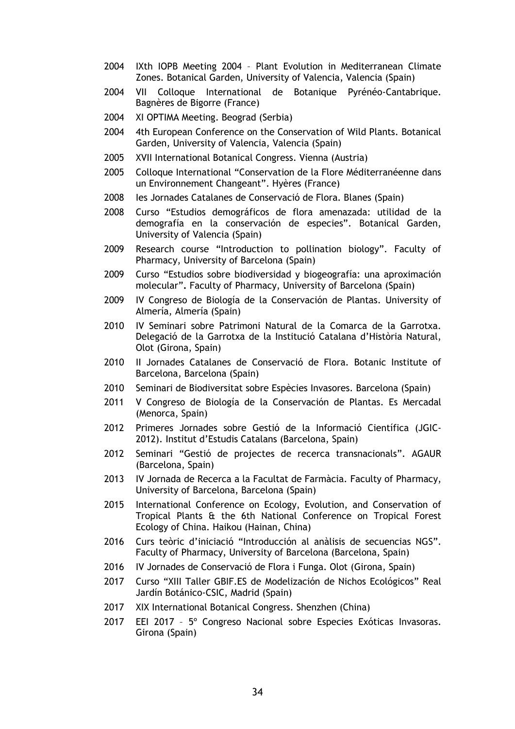- 2004 IXth IOPB Meeting 2004 Plant Evolution in Mediterranean Climate Zones. Botanical Garden, University of Valencia, Valencia (Spain)
- 2004 VII Colloque International de Botanique Pyrénéo-Cantabrique. Bagnères de Bigorre (France)
- 2004 XI OPTIMA Meeting. Beograd (Serbia)
- 2004 4th European Conference on the Conservation of Wild Plants. Botanical Garden, University of Valencia, Valencia (Spain)
- 2005 XVII International Botanical Congress. Vienna (Austria)
- 2005 Colloque International "Conservation de la Flore Méditerranéenne dans un Environnement Changeant". Hyères (France)
- 2008 Ies Jornades Catalanes de Conservació de Flora. Blanes (Spain)
- 2008 Curso "Estudios demográficos de flora amenazada: utilidad de la demografía en la conservación de especies". Botanical Garden, University of Valencia (Spain)
- 2009 Research course "Introduction to pollination biology". Faculty of Pharmacy, University of Barcelona (Spain)
- 2009 Curso "Estudios sobre biodiversidad y biogeografía: una aproximación molecular"**.** Faculty of Pharmacy, University of Barcelona (Spain)
- 2009 IV Congreso de Biología de la Conservación de Plantas. University of Almería, Almería (Spain)
- 2010 IV Seminari sobre Patrimoni Natural de la Comarca de la Garrotxa. Delegació de la Garrotxa de la Institució Catalana d'Història Natural, Olot (Girona, Spain)
- 2010 II Jornades Catalanes de Conservació de Flora. Botanic Institute of Barcelona, Barcelona (Spain)
- 2010 Seminari de Biodiversitat sobre Espècies Invasores. Barcelona (Spain)
- 2011 V Congreso de Biología de la Conservación de Plantas. Es Mercadal (Menorca, Spain)
- 2012 Primeres Jornades sobre Gestió de la Informació Científica (JGIC-2012). Institut d'Estudis Catalans (Barcelona, Spain)
- 2012 Seminari "Gestió de projectes de recerca transnacionals". AGAUR (Barcelona, Spain)
- 2013 IV Jornada de Recerca a la Facultat de Farmàcia. Faculty of Pharmacy, University of Barcelona, Barcelona (Spain)
- 2015 International Conference on Ecology, Evolution, and Conservation of Tropical Plants & the 6th National Conference on Tropical Forest Ecology of China. Haikou (Hainan, China)
- 2016 Curs teòric d'iniciació "Introducción al anàlisis de secuencias NGS". Faculty of Pharmacy, University of Barcelona (Barcelona, Spain)
- 2016 IV Jornades de Conservació de Flora i Funga. Olot (Girona, Spain)
- 2017 Curso "XIII Taller GBIF.ES de Modelización de Nichos Ecológicos" Real Jardín Botánico-CSIC, Madrid (Spain)
- 2017 XIX International Botanical Congress. Shenzhen (China)
- 2017 EEI 2017 5º Congreso Nacional sobre Especies Exóticas Invasoras. Girona (Spain)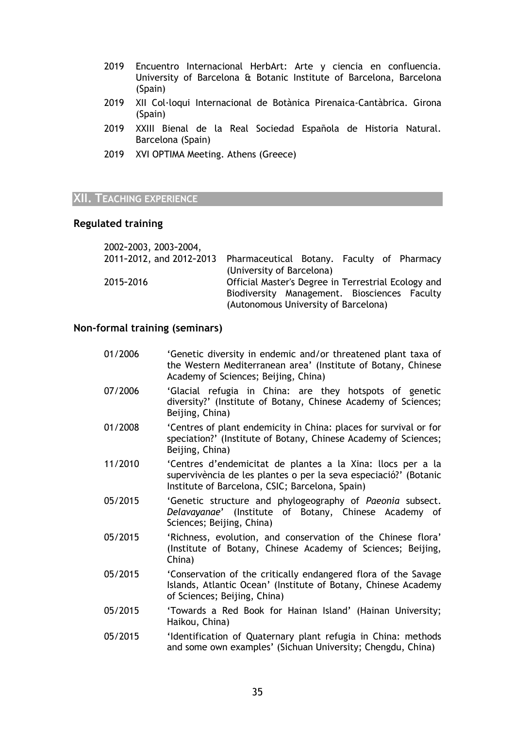- 2019 Encuentro Internacional HerbArt: Arte y ciencia en confluencia. University of Barcelona & Botanic Institute of Barcelona, Barcelona (Spain)
- 2019 XII Col·loqui Internacional de Botànica Pirenaica-Cantàbrica. Girona (Spain)
- 2019 XXIII Bienal de la Real Sociedad Española de Historia Natural. Barcelona (Spain)
- 2019 XVI OPTIMA Meeting. Athens (Greece)

# **XII. TEACHING EXPERIENCE**

# **Regulated training**

| 2002-2003, 2003-2004, |                                                                     |
|-----------------------|---------------------------------------------------------------------|
|                       | 2011-2012, and 2012-2013 Pharmaceutical Botany. Faculty of Pharmacy |
|                       | (University of Barcelona)                                           |
| 2015-2016             | Official Master's Degree in Terrestrial Ecology and                 |
|                       | Biodiversity Management. Biosciences Faculty                        |
|                       | (Autonomous University of Barcelona)                                |

# **Non-formal training (seminars)**

| 01/2006 | 'Genetic diversity in endemic and/or threatened plant taxa of<br>the Western Mediterranean area' (Institute of Botany, Chinese<br>Academy of Sciences; Beijing, China)             |
|---------|------------------------------------------------------------------------------------------------------------------------------------------------------------------------------------|
| 07/2006 | 'Glacial refugia in China: are they hotspots of genetic<br>diversity?' (Institute of Botany, Chinese Academy of Sciences;<br>Beijing, China)                                       |
| 01/2008 | 'Centres of plant endemicity in China: places for survival or for<br>speciation?' (Institute of Botany, Chinese Academy of Sciences;<br>Beijing, China)                            |
| 11/2010 | 'Centres d'endemicitat de plantes a la Xina: llocs per a la<br>supervivència de les plantes o per la seva especiació?' (Botanic<br>Institute of Barcelona, CSIC; Barcelona, Spain) |
| 05/2015 | 'Genetic structure and phylogeography of Paeonia subsect.<br>Delavayanae' (Institute of Botany, Chinese Academy of<br>Sciences; Beijing, China)                                    |
| 05/2015 | 'Richness, evolution, and conservation of the Chinese flora'<br>(Institute of Botany, Chinese Academy of Sciences; Beijing,<br>China)                                              |
| 05/2015 | 'Conservation of the critically endangered flora of the Savage<br>Islands, Atlantic Ocean' (Institute of Botany, Chinese Academy<br>of Sciences; Beijing, China)                   |
| 05/2015 | 'Towards a Red Book for Hainan Island' (Hainan University;<br>Haikou, China)                                                                                                       |
| 05/2015 | 'Identification of Quaternary plant refugia in China: methods<br>and some own examples' (Sichuan University; Chengdu, China)                                                       |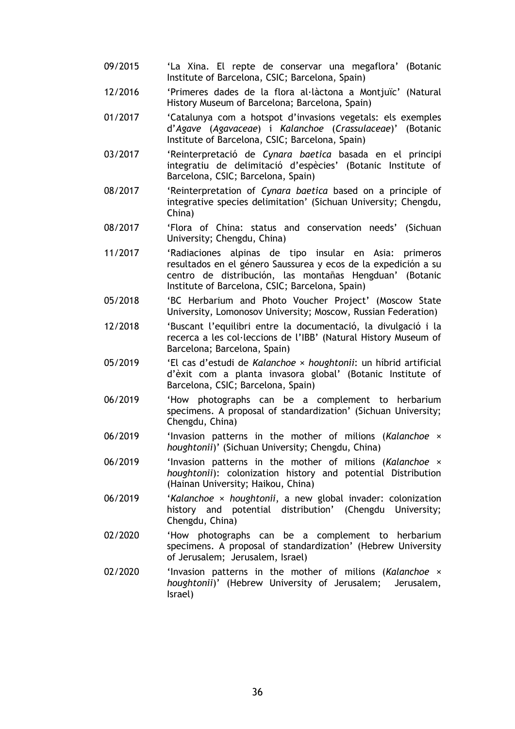- 09/2015 'La Xina. El repte de conservar una megaflora' (Botanic Institute of Barcelona, CSIC; Barcelona, Spain)
- 12/2016 'Primeres dades de la flora al·làctona a Montjuïc' (Natural History Museum of Barcelona; Barcelona, Spain)
- 01/2017 'Catalunya com a hotspot d'invasions vegetals: els exemples d'*Agave* (*Agavaceae*) i *Kalanchoe* (*Crassulaceae*)' (Botanic Institute of Barcelona, CSIC; Barcelona, Spain)
- 03/2017 'Reinterpretació de *Cynara baetica* basada en el principi integratiu de delimitació d'espècies' (Botanic Institute of Barcelona, CSIC; Barcelona, Spain)
- 08/2017 'Reinterpretation of *Cynara baetica* based on a principle of integrative species delimitation' (Sichuan University; Chengdu, China)
- 08/2017 'Flora of China: status and conservation needs' (Sichuan University; Chengdu, China)
- 11/2017 'Radiaciones alpinas de tipo insular en Asia: primeros resultados en el género Saussurea y ecos de la expedición a su centro de distribución, las montañas Hengduan' (Botanic Institute of Barcelona, CSIC; Barcelona, Spain)
- 05/2018 'BC Herbarium and Photo Voucher Project' (Moscow State University, Lomonosov University; Moscow, Russian Federation)
- 12/2018 'Buscant l'equilibri entre la documentació, la divulgació i la recerca a les col·leccions de l'IBB' (Natural History Museum of Barcelona; Barcelona, Spain)
- 05/2019 'El cas d'estudi de *Kalanchoe* × *houghtonii*: un híbrid artificial d'èxit com a planta invasora global' (Botanic Institute of Barcelona, CSIC; Barcelona, Spain)
- 06/2019 'How photographs can be a complement to herbarium specimens. A proposal of standardization' (Sichuan University; Chengdu, China)
- 06/2019 'Invasion patterns in the mother of milions (*Kalanchoe* × *houghtonii*)' (Sichuan University; Chengdu, China)
- 06/2019 'Invasion patterns in the mother of milions (*Kalanchoe* × *houghtonii*): colonization history and potential Distribution (Hainan University; Haikou, China)
- 06/2019 '*Kalanchoe* × *houghtonii*, a new global invader: colonization history and potential distribution' (Chengdu University; Chengdu, China)
- 02/2020 'How photographs can be a complement to herbarium specimens. A proposal of standardization' (Hebrew University of Jerusalem; Jerusalem, Israel)
- 02/2020 'Invasion patterns in the mother of milions (*Kalanchoe* × *houghtonii*)' (Hebrew University of Jerusalem; Jerusalem, Israel)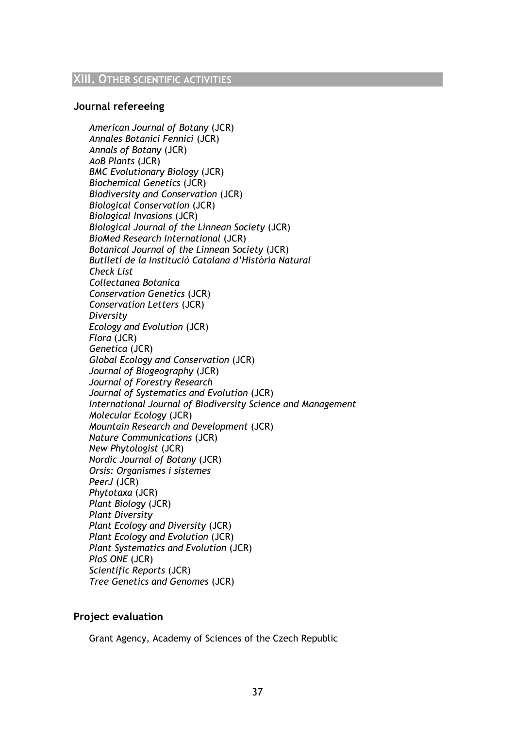# **Journal refereeing**

*American Journal of Botany* (JCR) *Annales Botanici Fennici* (JCR) *Annals of Botany* (JCR) *AoB Plants* (JCR) *BMC Evolutionary Biology* (JCR) *Biochemical Genetics* (JCR) *Biodiversity and Conservation* (JCR) *Biological Conservation* (JCR) *Biological Invasions* (JCR) *Biological Journal of the Linnean Society* (JCR) *BioMed Research International* (JCR) *Botanical Journal of the Linnean Society* (JCR) *Butlletí de la Institució Catalana d'Història Natural Check List Collectanea Botanica Conservation Genetics* (JCR) *Conservation Letters* (JCR) *Diversity Ecology and Evolution* (JCR) *Flora* (JCR) *Genetica* (JCR) *Global Ecology and Conservation* (JCR) *Journal of Biogeography* (JCR) *Journal of Forestry Research Journal of Systematics and Evolution* (JCR) *International Journal of Biodiversity Science and Management Molecular Ecology* (JCR) *Mountain Research and Development* (JCR) *Nature Communications* (JCR) *New Phytologist* (JCR) *Nordic Journal of Botany* (JCR) *Orsis: Organismes i sistemes PeerJ* (JCR) *Phytotaxa* (JCR) *Plant Biology* (JCR) *Plant Diversity Plant Ecology and Diversity* (JCR) *Plant Ecology and Evolution* (JCR) *Plant Systematics and Evolution* (JCR) *PloS ONE* (JCR) *Scientific Reports* (JCR) *Tree Genetics and Genomes* (JCR)

# **Project evaluation**

Grant Agency, Academy of Sciences of the Czech Republic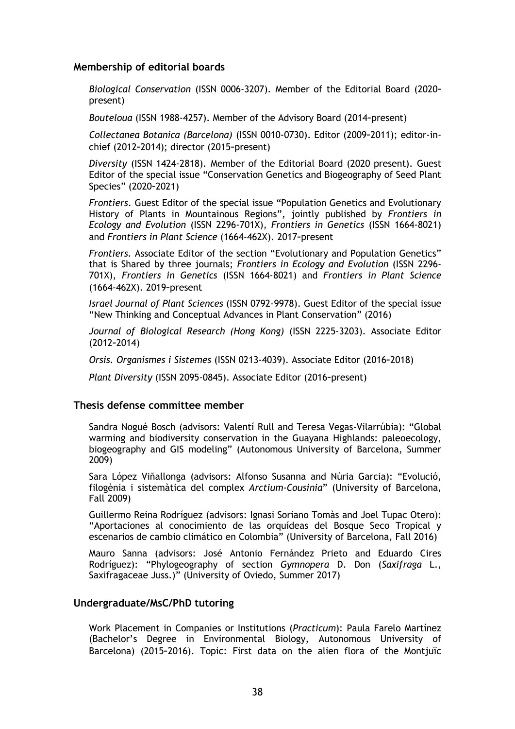# **Membership of editorial boards**

*Biological Conservation* (ISSN 0006-3207). Member of the Editorial Board (2020**–** present)

*Bouteloua* (ISSN 1988-4257). Member of the Advisory Board (2014**–**present)

*Collectanea Botanica (Barcelona)* (ISSN 0010-0730). Editor (2009**–**2011); editor-inchief (2012**–**2014); director (2015**–**present)

*Diversity* (ISSN 1424-2818). Member of the Editorial Board (2020–present). Guest Editor of the special issue "Conservation Genetics and Biogeography of Seed Plant Species" (2020**–**2021)

*Frontiers*. Guest Editor of the special issue "Population Genetics and Evolutionary History of Plants in Mountainous Regions", jointly published by *Frontiers in Ecology and Evolution* (ISSN 2296-701X), *Frontiers in Genetics* (ISSN 1664-8021) and *Frontiers in Plant Science* (1664-462X). 2017**–**present

*Frontiers.* Associate Editor of the section "Evolutionary and Population Genetics" that is Shared by three journals; *Frontiers in Ecology and Evolution* (ISSN 2296- 701X), *Frontiers in Genetics* (ISSN 1664-8021) and *Frontiers in Plant Science* (1664-462X). 2019**–**present

*Israel Journal of Plant Sciences* (ISSN 0792-9978). Guest Editor of the special issue "New Thinking and Conceptual Advances in Plant Conservation" (2016)

*Journal of Biological Research (Hong Kong)* (ISSN 2225-3203). Associate Editor (2012**–**2014)

*Orsis. Organismes i Sistemes* (ISSN 0213-4039). Associate Editor (2016**–**2018)

*Plant Diversity* (ISSN 2095-0845). Associate Editor (2016**–**present)

#### **Thesis defense committee member**

Sandra Nogué Bosch (advisors: Valentí Rull and Teresa Vegas-Vilarrúbia): "Global warming and biodiversity conservation in the Guayana Highlands: paleoecology, biogeography and GIS modeling" (Autonomous University of Barcelona, Summer 2009)

Sara López Viñallonga (advisors: Alfonso Susanna and Núria Garcia): "Evolució, filogènia i sistemàtica del complex *Arctium-Cousinia*" (University of Barcelona, Fall 2009)

Guillermo Reina Rodríguez (advisors: Ignasi Soriano Tomàs and Joel Tupac Otero): "Aportaciones al conocimiento de las orquídeas del Bosque Seco Tropical y escenarios de cambio climático en Colombia" (University of Barcelona, Fall 2016)

Mauro Sanna (advisors: José Antonio Fernández Prieto and Eduardo Cires Rodríguez): "Phylogeography of section *Gymnopera* D. Don (*Saxifraga* L., Saxifragaceae Juss.)" (University of Oviedo, Summer 2017)

#### **Undergraduate/MsC/PhD tutoring**

Work Placement in Companies or Institutions (*Practicum*): Paula Farelo Martínez (Bachelor's Degree in Environmental Biology, Autonomous University of Barcelona) (2015**–**2016). Topic: First data on the alien flora of the Montjuïc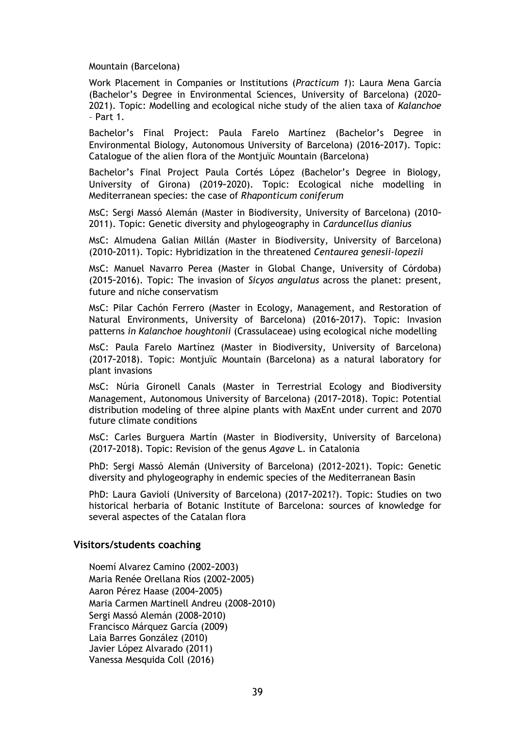Mountain (Barcelona)

Work Placement in Companies or Institutions (*Practicum 1*): Laura Mena García (Bachelor's Degree in Environmental Sciences, University of Barcelona) (2020**–** 2021). Topic: Modelling and ecological niche study of the alien taxa of *Kalanchoe* – Part 1.

Bachelor's Final Project: Paula Farelo Martínez (Bachelor's Degree in Environmental Biology, Autonomous University of Barcelona) (2016**–**2017). Topic: Catalogue of the alien flora of the Montjuïc Mountain (Barcelona)

Bachelor's Final Project Paula Cortés López (Bachelor's Degree in Biology, University of Girona) (2019**–**2020). Topic: Ecological niche modelling in Mediterranean species: the case of *Rhaponticum coniferum*

MsC: Sergi Massó Alemán (Master in Biodiversity, University of Barcelona) (2010**–** 2011). Topic: Genetic diversity and phylogeography in *Carduncellus dianius*

MsC: Almudena Galian Millán (Master in Biodiversity, University of Barcelona) (2010**–**2011). Topic: Hybridization in the threatened *Centaurea genesii-lopezii*

MsC: Manuel Navarro Perea (Master in Global Change, University of Córdoba) (2015**–**2016). Topic: The invasion of *Sicyos angulatus* across the planet: present, future and niche conservatism

MsC: Pilar Cachón Ferrero (Master in Ecology, Management, and Restoration of Natural Environments, University of Barcelona) (2016**–**2017). Topic: Invasion patterns *in Kalanchoe houghtonii* (Crassulaceae) using ecological niche modelling

MsC: Paula Farelo Martínez (Master in Biodiversity, University of Barcelona) (2017**–**2018). Topic: Montjuïc Mountain (Barcelona) as a natural laboratory for plant invasions

MsC: Núria Gironell Canals (Master in Terrestrial Ecology and Biodiversity Management, Autonomous University of Barcelona) (2017**–**2018). Topic: Potential distribution modeling of three alpine plants with MaxEnt under current and 2070 future climate conditions

MsC: Carles Burguera Martín (Master in Biodiversity, University of Barcelona) (2017**–**2018). Topic: Revision of the genus *Agave* L. in Catalonia

PhD: Sergi Massó Alemán (University of Barcelona) (2012**–**2021). Topic: Genetic diversity and phylogeography in endemic species of the Mediterranean Basin

PhD: Laura Gavioli (University of Barcelona) (2017**–**2021?). Topic: Studies on two historical herbaria of Botanic Institute of Barcelona: sources of knowledge for several aspectes of the Catalan flora

#### **Visitors/students coaching**

Noemí Alvarez Camino (2002**–**2003) Maria Renée Orellana Ríos (2002**–**2005) Aaron Pérez Haase (2004**–**2005) Maria Carmen Martinell Andreu (2008**–**2010) Sergi Massó Alemán (2008**–**2010) Francisco Márquez García (2009) Laia Barres González (2010) Javier López Alvarado (2011) Vanessa Mesquida Coll (2016)